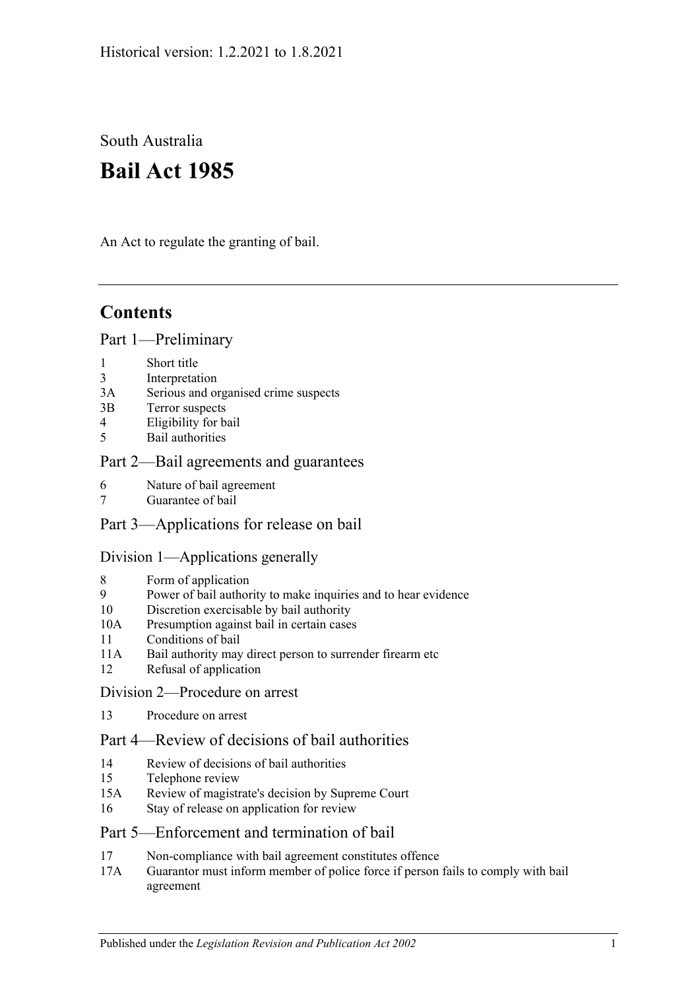South Australia

# **Bail Act 1985**

An Act to regulate the granting of bail.

## **Contents**

#### [Part 1—Preliminary](#page-1-0)

- 1 [Short title](#page-1-1)
- 3 [Interpretation](#page-1-2)
- 3A [Serious and organised crime suspects](#page-3-0)
- 3B [Terror suspects](#page-4-0)
- 4 [Eligibility for bail](#page-4-1)
- 5 [Bail authorities](#page-5-0)

## [Part 2—Bail agreements and guarantees](#page-6-0)

- 6 [Nature of bail agreement](#page-6-1)
- 7 [Guarantee of bail](#page-7-0)

## Part [3—Applications for release on bail](#page-8-0)

## [Division 1—Applications generally](#page-8-1)

- 8 [Form of application](#page-8-2)
- 9 [Power of bail authority to make inquiries and to hear evidence](#page-9-0)
- 10 [Discretion exercisable by bail authority](#page-9-1)
- 10A [Presumption against bail in certain cases](#page-10-0)
- 11 [Conditions of bail](#page-12-0)
- 11A [Bail authority may direct person to surrender firearm etc](#page-16-0)
- 12 [Refusal of application](#page-16-1)

#### [Division 2—Procedure on arrest](#page-16-2)

13 [Procedure on arrest](#page-16-3)

## [Part 4—Review of decisions of bail authorities](#page-17-0)

- 14 [Review of decisions of bail authorities](#page-17-1)
- 15 [Telephone review](#page-18-0)
- 15A [Review of magistrate's decision by Supreme Court](#page-19-0)
- 16 [Stay of release on application for review](#page-20-0)

## [Part 5—Enforcement and termination of bail](#page-20-1)

- 17 [Non-compliance with bail agreement constitutes offence](#page-20-2)
- 17A [Guarantor must inform member of police force if person fails to comply with bail](#page-21-0)  [agreement](#page-21-0)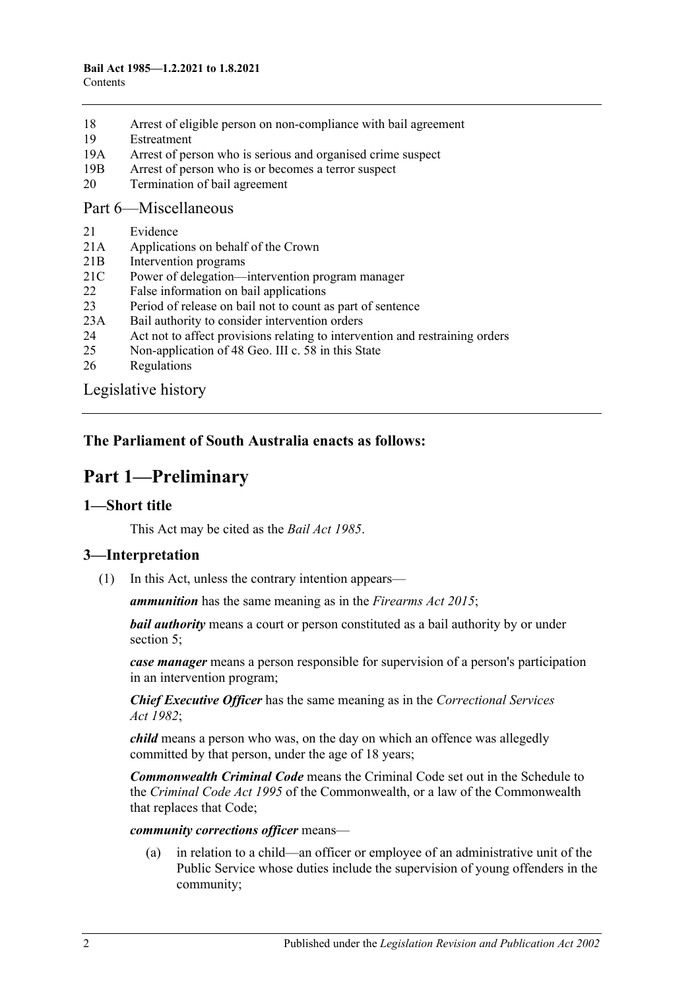- 18 [Arrest of eligible person on non-compliance with bail agreement](#page-21-1)
- 19 [Estreatment](#page-21-2)
- 19A [Arrest of person who is serious and organised crime suspect](#page-22-0)
- 19B [Arrest of person who is or becomes a terror suspect](#page-22-1)
- 20 [Termination of bail agreement](#page-23-0)

#### [Part 6—Miscellaneous](#page-23-1)

- 21 [Evidence](#page-23-2)
- 21A [Applications on behalf of the Crown](#page-23-3)
- 21B [Intervention programs](#page-23-4)
- 21C [Power of delegation—intervention program manager](#page-24-0)
- 22 [False information on bail applications](#page-25-0)
- 23 [Period of release on bail not to count as part of sentence](#page-25-1)
- 23A [Bail authority to consider intervention orders](#page-25-2)
- 24 [Act not to affect provisions relating to intervention and restraining orders](#page-25-3)
- 25 [Non-application of 48 Geo. III c. 58 in this State](#page-26-0)
- 26 [Regulations](#page-26-1)

[Legislative history](#page-27-0)

## <span id="page-1-0"></span>**The Parliament of South Australia enacts as follows:**

## **Part 1—Preliminary**

## <span id="page-1-1"></span>**1—Short title**

This Act may be cited as the *Bail Act 1985*.

## <span id="page-1-2"></span>**3—Interpretation**

(1) In this Act, unless the contrary intention appears—

*ammunition* has the same meaning as in the *[Firearms Act](http://www.legislation.sa.gov.au/index.aspx?action=legref&type=act&legtitle=Firearms%20Act%202015) 2015*;

*bail authority* means a court or person constituted as a bail authority by or under [section](#page-5-0) 5;

*case manager* means a person responsible for supervision of a person's participation in an intervention program;

*Chief Executive Officer* has the same meaning as in the *[Correctional Services](http://www.legislation.sa.gov.au/index.aspx?action=legref&type=act&legtitle=Correctional%20Services%20Act%201982)  Act [1982](http://www.legislation.sa.gov.au/index.aspx?action=legref&type=act&legtitle=Correctional%20Services%20Act%201982)*;

*child* means a person who was, on the day on which an offence was allegedly committed by that person, under the age of 18 years;

*Commonwealth Criminal Code* means the Criminal Code set out in the Schedule to the *Criminal Code Act 1995* of the Commonwealth, or a law of the Commonwealth that replaces that Code;

#### *community corrections officer* means—

(a) in relation to a child—an officer or employee of an administrative unit of the Public Service whose duties include the supervision of young offenders in the community;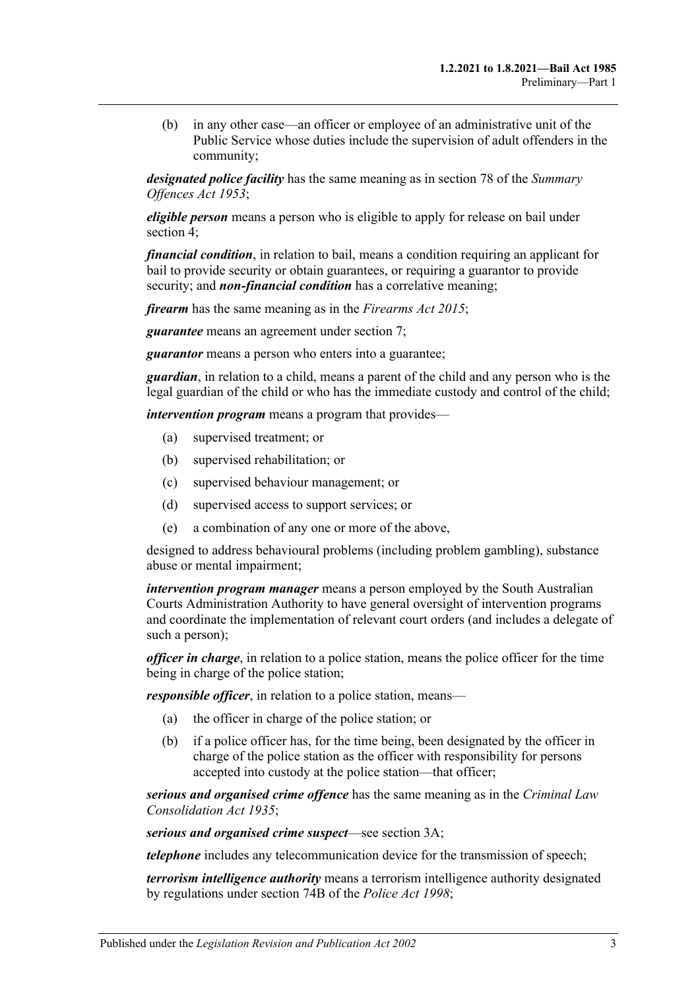(b) in any other case—an officer or employee of an administrative unit of the Public Service whose duties include the supervision of adult offenders in the community;

*designated police facility* has the same meaning as in section 78 of the *[Summary](http://www.legislation.sa.gov.au/index.aspx?action=legref&type=act&legtitle=Summary%20Offences%20Act%201953)  [Offences Act](http://www.legislation.sa.gov.au/index.aspx?action=legref&type=act&legtitle=Summary%20Offences%20Act%201953) 1953*;

*eligible person* means a person who is eligible to apply for release on bail under [section](#page-4-1) 4;

*financial condition*, in relation to bail, means a condition requiring an applicant for bail to provide security or obtain guarantees, or requiring a guarantor to provide security; and *non-financial condition* has a correlative meaning;

*firearm* has the same meaning as in the *[Firearms Act](http://www.legislation.sa.gov.au/index.aspx?action=legref&type=act&legtitle=Firearms%20Act%202015) 2015*;

*guarantee* means an agreement under [section](#page-7-0) 7;

*guarantor* means a person who enters into a guarantee;

*guardian*, in relation to a child, means a parent of the child and any person who is the legal guardian of the child or who has the immediate custody and control of the child;

*intervention program* means a program that provides—

- (a) supervised treatment; or
- (b) supervised rehabilitation; or
- (c) supervised behaviour management; or
- (d) supervised access to support services; or
- (e) a combination of any one or more of the above,

designed to address behavioural problems (including problem gambling), substance abuse or mental impairment;

*intervention program manager* means a person employed by the South Australian Courts Administration Authority to have general oversight of intervention programs and coordinate the implementation of relevant court orders (and includes a delegate of such a person);

*officer in charge*, in relation to a police station, means the police officer for the time being in charge of the police station;

*responsible officer*, in relation to a police station, means—

- (a) the officer in charge of the police station; or
- (b) if a police officer has, for the time being, been designated by the officer in charge of the police station as the officer with responsibility for persons accepted into custody at the police station—that officer;

*serious and organised crime offence* has the same meaning as in the *[Criminal Law](http://www.legislation.sa.gov.au/index.aspx?action=legref&type=act&legtitle=Criminal%20Law%20Consolidation%20Act%201935)  [Consolidation Act](http://www.legislation.sa.gov.au/index.aspx?action=legref&type=act&legtitle=Criminal%20Law%20Consolidation%20Act%201935) 1935*;

*serious and organised crime suspect*—see [section](#page-3-0) 3A;

*telephone* includes any telecommunication device for the transmission of speech;

*terrorism intelligence authority* means a terrorism intelligence authority designated by regulations under section 74B of the *[Police Act](http://www.legislation.sa.gov.au/index.aspx?action=legref&type=act&legtitle=Police%20Act%201998) 1998*;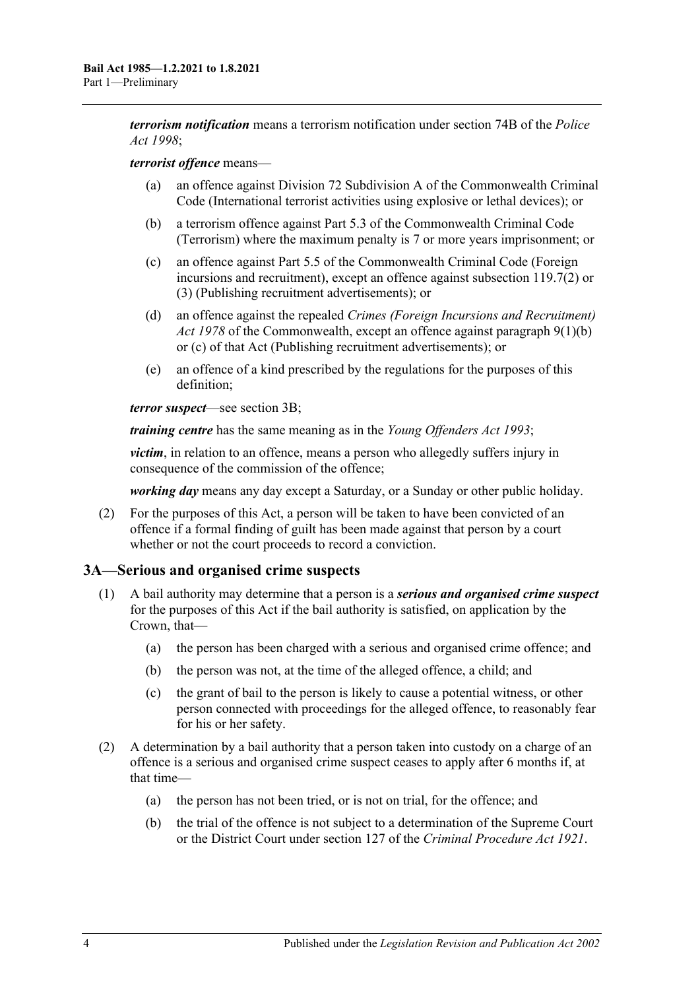*terrorism notification* means a terrorism notification under section 74B of the *[Police](http://www.legislation.sa.gov.au/index.aspx?action=legref&type=act&legtitle=Police%20Act%201998)  Act [1998](http://www.legislation.sa.gov.au/index.aspx?action=legref&type=act&legtitle=Police%20Act%201998)*;

#### *terrorist offence* means—

- (a) an offence against Division 72 Subdivision A of the Commonwealth Criminal Code (International terrorist activities using explosive or lethal devices); or
- (b) a terrorism offence against Part 5.3 of the Commonwealth Criminal Code (Terrorism) where the maximum penalty is 7 or more years imprisonment; or
- (c) an offence against Part 5.5 of the Commonwealth Criminal Code (Foreign incursions and recruitment), except an offence against subsection 119.7(2) or (3) (Publishing recruitment advertisements); or
- (d) an offence against the repealed *Crimes (Foreign Incursions and Recruitment) Act 1978* of the Commonwealth, except an offence against paragraph 9(1)(b) or (c) of that Act (Publishing recruitment advertisements); or
- (e) an offence of a kind prescribed by the regulations for the purposes of this definition;

*terror suspect*—see [section](#page-4-0) 3B;

*training centre* has the same meaning as in the *[Young Offenders Act](http://www.legislation.sa.gov.au/index.aspx?action=legref&type=act&legtitle=Young%20Offenders%20Act%201993) 1993*;

*victim*, in relation to an offence, means a person who allegedly suffers injury in consequence of the commission of the offence;

*working day* means any day except a Saturday, or a Sunday or other public holiday.

(2) For the purposes of this Act, a person will be taken to have been convicted of an offence if a formal finding of guilt has been made against that person by a court whether or not the court proceeds to record a conviction.

## <span id="page-3-0"></span>**3A—Serious and organised crime suspects**

- <span id="page-3-3"></span><span id="page-3-2"></span>(1) A bail authority may determine that a person is a *serious and organised crime suspect* for the purposes of this Act if the bail authority is satisfied, on application by the Crown, that—
	- (a) the person has been charged with a serious and organised crime offence; and
	- (b) the person was not, at the time of the alleged offence, a child; and
	- (c) the grant of bail to the person is likely to cause a potential witness, or other person connected with proceedings for the alleged offence, to reasonably fear for his or her safety.
- <span id="page-3-4"></span><span id="page-3-1"></span>(2) A determination by a bail authority that a person taken into custody on a charge of an offence is a serious and organised crime suspect ceases to apply after 6 months if, at that time—
	- (a) the person has not been tried, or is not on trial, for the offence; and
	- (b) the trial of the offence is not subject to a determination of the Supreme Court or the District Court under section 127 of the *[Criminal Procedure Act](http://www.legislation.sa.gov.au/index.aspx?action=legref&type=act&legtitle=Criminal%20Procedure%20Act%201921) 1921*.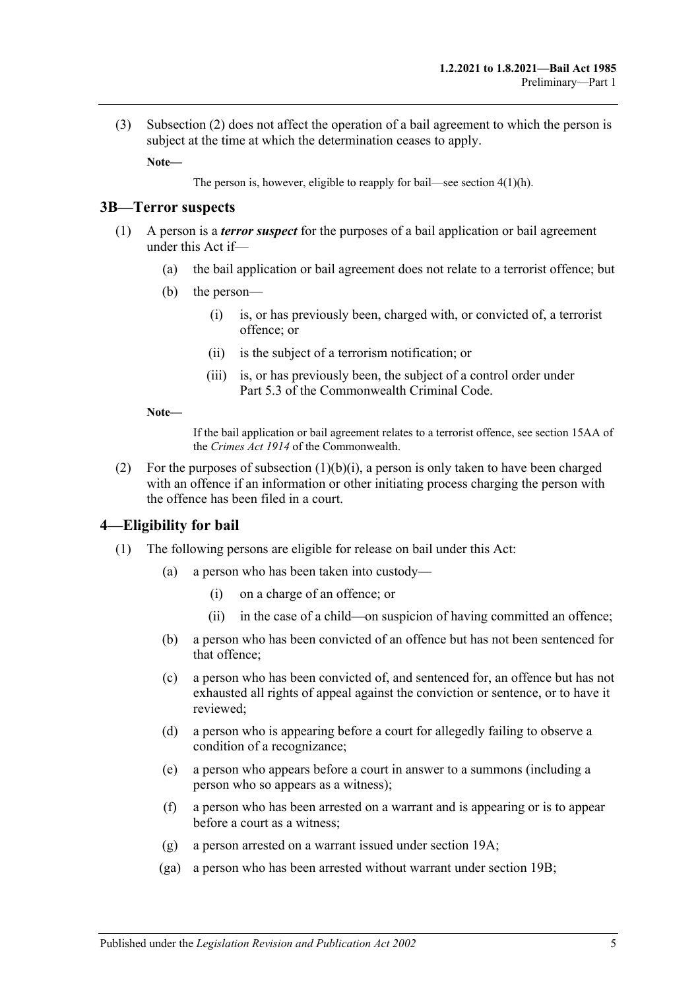(3) [Subsection](#page-3-1) (2) does not affect the operation of a bail agreement to which the person is subject at the time at which the determination ceases to apply.

**Note—**

The person is, however, eligible to reapply for bail—see section [4\(1\)\(h\).](#page-5-1)

#### <span id="page-4-0"></span>**3B—Terror suspects**

- <span id="page-4-2"></span>(1) A person is a *terror suspect* for the purposes of a bail application or bail agreement under this Act if—
	- (a) the bail application or bail agreement does not relate to a terrorist offence; but
	- (b) the person—
		- (i) is, or has previously been, charged with, or convicted of, a terrorist offence; or
		- (ii) is the subject of a terrorism notification; or
		- (iii) is, or has previously been, the subject of a control order under Part 5.3 of the Commonwealth Criminal Code.

#### **Note—**

If the bail application or bail agreement relates to a terrorist offence, see section 15AA of the *Crimes Act 1914* of the Commonwealth.

(2) For the purposes of [subsection](#page-4-2)  $(1)(b)(i)$ , a person is only taken to have been charged with an offence if an information or other initiating process charging the person with the offence has been filed in a court.

#### <span id="page-4-1"></span>**4—Eligibility for bail**

- (1) The following persons are eligible for release on bail under this Act:
	- (a) a person who has been taken into custody—
		- (i) on a charge of an offence; or
		- (ii) in the case of a child—on suspicion of having committed an offence;
	- (b) a person who has been convicted of an offence but has not been sentenced for that offence;
	- (c) a person who has been convicted of, and sentenced for, an offence but has not exhausted all rights of appeal against the conviction or sentence, or to have it reviewed;
	- (d) a person who is appearing before a court for allegedly failing to observe a condition of a recognizance;
	- (e) a person who appears before a court in answer to a summons (including a person who so appears as a witness);
	- (f) a person who has been arrested on a warrant and is appearing or is to appear before a court as a witness;
	- (g) a person arrested on a warrant issued under [section](#page-22-0) 19A;
	- (ga) a person who has been arrested without warrant under [section](#page-22-1) 19B;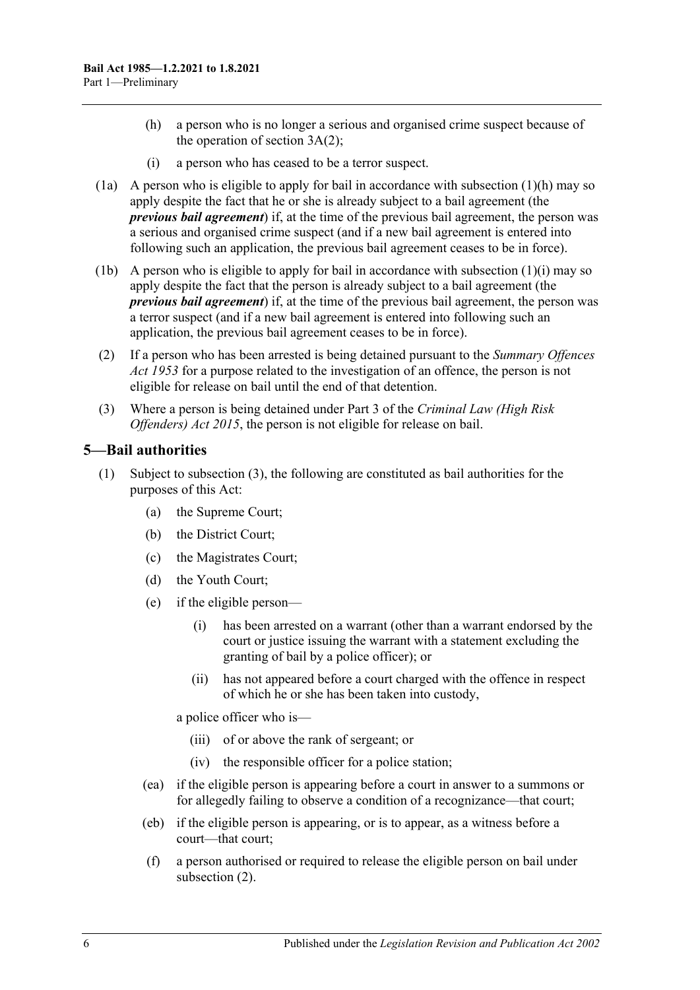- <span id="page-5-1"></span>(h) a person who is no longer a serious and organised crime suspect because of the operation of [section](#page-3-1) 3A(2);
- (i) a person who has ceased to be a terror suspect.
- <span id="page-5-2"></span>(1a) A person who is eligible to apply for bail in accordance with [subsection](#page-5-1)  $(1)(h)$  may so apply despite the fact that he or she is already subject to a bail agreement (the *previous bail agreement*) if, at the time of the previous bail agreement, the person was a serious and organised crime suspect (and if a new bail agreement is entered into following such an application, the previous bail agreement ceases to be in force).
- (1b) A person who is eligible to apply for bail in accordance with [subsection](#page-5-2) (1)(i) may so apply despite the fact that the person is already subject to a bail agreement (the *previous bail agreement*) if, at the time of the previous bail agreement, the person was a terror suspect (and if a new bail agreement is entered into following such an application, the previous bail agreement ceases to be in force).
- (2) If a person who has been arrested is being detained pursuant to the *[Summary Offences](http://www.legislation.sa.gov.au/index.aspx?action=legref&type=act&legtitle=Summary%20Offences%20Act%201953)  Act [1953](http://www.legislation.sa.gov.au/index.aspx?action=legref&type=act&legtitle=Summary%20Offences%20Act%201953)* for a purpose related to the investigation of an offence, the person is not eligible for release on bail until the end of that detention.
- (3) Where a person is being detained under Part 3 of the *[Criminal Law \(High Risk](http://www.legislation.sa.gov.au/index.aspx?action=legref&type=act&legtitle=Criminal%20Law%20(High%20Risk%20Offenders)%20Act%202015)  [Offenders\) Act](http://www.legislation.sa.gov.au/index.aspx?action=legref&type=act&legtitle=Criminal%20Law%20(High%20Risk%20Offenders)%20Act%202015) 2015*, the person is not eligible for release on bail.

## <span id="page-5-3"></span><span id="page-5-0"></span>**5—Bail authorities**

- (1) Subject to [subsection](#page-6-2) (3), the following are constituted as bail authorities for the purposes of this Act:
	- (a) the Supreme Court;
	- (b) the District Court;
	- (c) the Magistrates Court;
	- (d) the Youth Court;
	- (e) if the eligible person—
		- (i) has been arrested on a warrant (other than a warrant endorsed by the court or justice issuing the warrant with a statement excluding the granting of bail by a police officer); or
		- (ii) has not appeared before a court charged with the offence in respect of which he or she has been taken into custody,

a police officer who is—

- (iii) of or above the rank of sergeant; or
- (iv) the responsible officer for a police station;
- (ea) if the eligible person is appearing before a court in answer to a summons or for allegedly failing to observe a condition of a recognizance—that court;
- (eb) if the eligible person is appearing, or is to appear, as a witness before a court—that court;
- (f) a person authorised or required to release the eligible person on bail under [subsection](#page-6-3) (2).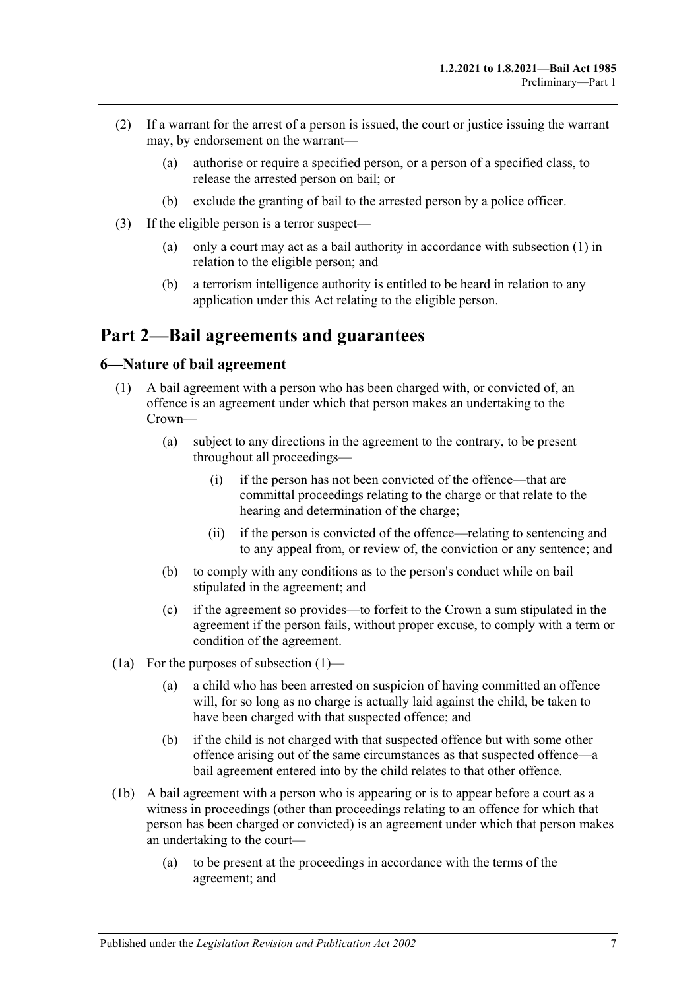- <span id="page-6-3"></span>(2) If a warrant for the arrest of a person is issued, the court or justice issuing the warrant may, by endorsement on the warrant—
	- (a) authorise or require a specified person, or a person of a specified class, to release the arrested person on bail; or
	- (b) exclude the granting of bail to the arrested person by a police officer.
- <span id="page-6-2"></span>(3) If the eligible person is a terror suspect—
	- (a) only a court may act as a bail authority in accordance with [subsection](#page-5-3) (1) in relation to the eligible person; and
	- (b) a terrorism intelligence authority is entitled to be heard in relation to any application under this Act relating to the eligible person.

## <span id="page-6-0"></span>**Part 2—Bail agreements and guarantees**

#### <span id="page-6-4"></span><span id="page-6-1"></span>**6—Nature of bail agreement**

- (1) A bail agreement with a person who has been charged with, or convicted of, an offence is an agreement under which that person makes an undertaking to the Crown—
	- (a) subject to any directions in the agreement to the contrary, to be present throughout all proceedings—
		- (i) if the person has not been convicted of the offence—that are committal proceedings relating to the charge or that relate to the hearing and determination of the charge;
		- (ii) if the person is convicted of the offence—relating to sentencing and to any appeal from, or review of, the conviction or any sentence; and
	- (b) to comply with any conditions as to the person's conduct while on bail stipulated in the agreement; and
	- (c) if the agreement so provides—to forfeit to the Crown a sum stipulated in the agreement if the person fails, without proper excuse, to comply with a term or condition of the agreement.
- (1a) For the purposes of [subsection](#page-6-4) (1)—
	- (a) a child who has been arrested on suspicion of having committed an offence will, for so long as no charge is actually laid against the child, be taken to have been charged with that suspected offence; and
	- (b) if the child is not charged with that suspected offence but with some other offence arising out of the same circumstances as that suspected offence—a bail agreement entered into by the child relates to that other offence.
- (1b) A bail agreement with a person who is appearing or is to appear before a court as a witness in proceedings (other than proceedings relating to an offence for which that person has been charged or convicted) is an agreement under which that person makes an undertaking to the court—
	- (a) to be present at the proceedings in accordance with the terms of the agreement; and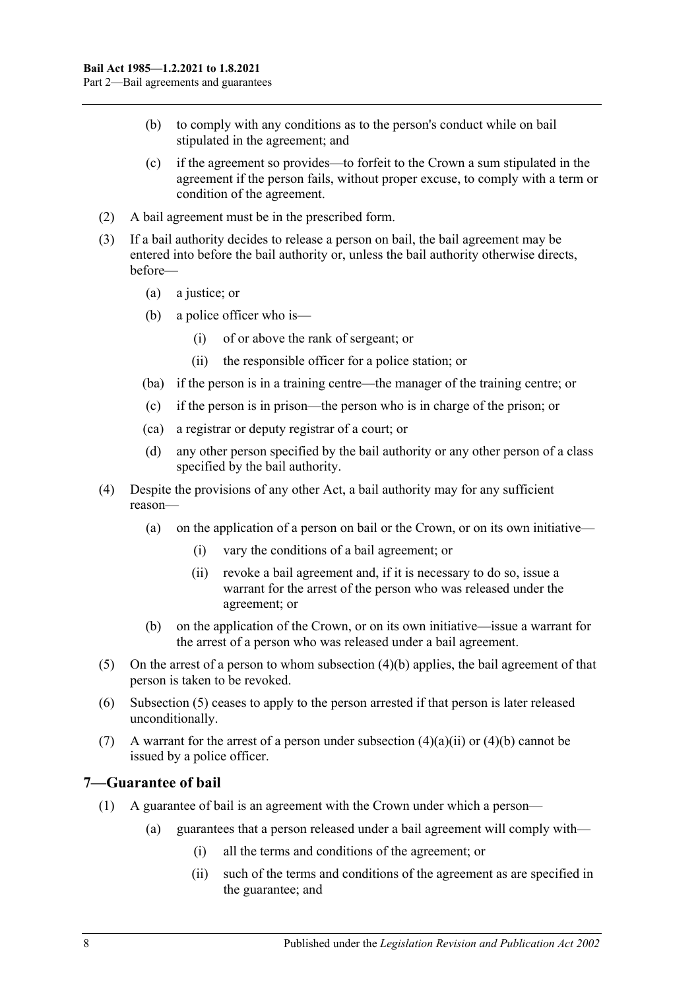- (b) to comply with any conditions as to the person's conduct while on bail stipulated in the agreement; and
- (c) if the agreement so provides—to forfeit to the Crown a sum stipulated in the agreement if the person fails, without proper excuse, to comply with a term or condition of the agreement.
- (2) A bail agreement must be in the prescribed form.
- (3) If a bail authority decides to release a person on bail, the bail agreement may be entered into before the bail authority or, unless the bail authority otherwise directs, before—
	- (a) a justice; or
	- (b) a police officer who is—
		- (i) of or above the rank of sergeant; or
		- (ii) the responsible officer for a police station; or
	- (ba) if the person is in a training centre—the manager of the training centre; or
	- (c) if the person is in prison—the person who is in charge of the prison; or
	- (ca) a registrar or deputy registrar of a court; or
	- (d) any other person specified by the bail authority or any other person of a class specified by the bail authority.
- <span id="page-7-2"></span>(4) Despite the provisions of any other Act, a bail authority may for any sufficient reason—
	- (a) on the application of a person on bail or the Crown, or on its own initiative—
		- (i) vary the conditions of a bail agreement; or
		- (ii) revoke a bail agreement and, if it is necessary to do so, issue a warrant for the arrest of the person who was released under the agreement; or
	- (b) on the application of the Crown, or on its own initiative—issue a warrant for the arrest of a person who was released under a bail agreement.
- <span id="page-7-1"></span>(5) On the arrest of a person to whom subsection (4)(b) applies, the bail agreement of that person is taken to be revoked.
- (6) [Subsection](#page-7-1) (5) ceases to apply to the person arrested if that person is later released unconditionally.
- (7) A warrant for the arrest of a person under [subsection](#page-7-2)  $(4)(a)(ii)$  or  $(4)(b)$  cannot be issued by a police officer.

## <span id="page-7-0"></span>**7—Guarantee of bail**

- (1) A guarantee of bail is an agreement with the Crown under which a person—
	- (a) guarantees that a person released under a bail agreement will comply with—
		- (i) all the terms and conditions of the agreement; or
		- (ii) such of the terms and conditions of the agreement as are specified in the guarantee; and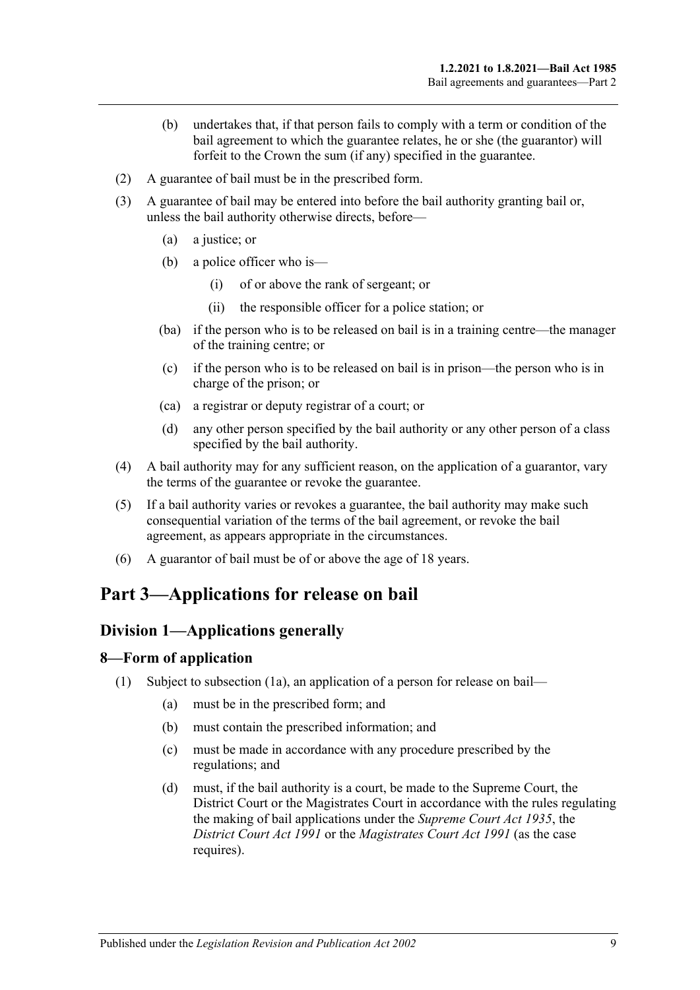- (b) undertakes that, if that person fails to comply with a term or condition of the bail agreement to which the guarantee relates, he or she (the guarantor) will forfeit to the Crown the sum (if any) specified in the guarantee.
- (2) A guarantee of bail must be in the prescribed form.
- (3) A guarantee of bail may be entered into before the bail authority granting bail or, unless the bail authority otherwise directs, before—
	- (a) a justice; or
	- (b) a police officer who is—
		- (i) of or above the rank of sergeant; or
		- (ii) the responsible officer for a police station; or
	- (ba) if the person who is to be released on bail is in a training centre—the manager of the training centre; or
	- (c) if the person who is to be released on bail is in prison—the person who is in charge of the prison; or
	- (ca) a registrar or deputy registrar of a court; or
	- (d) any other person specified by the bail authority or any other person of a class specified by the bail authority.
- (4) A bail authority may for any sufficient reason, on the application of a guarantor, vary the terms of the guarantee or revoke the guarantee.
- (5) If a bail authority varies or revokes a guarantee, the bail authority may make such consequential variation of the terms of the bail agreement, or revoke the bail agreement, as appears appropriate in the circumstances.
- (6) A guarantor of bail must be of or above the age of 18 years.

## <span id="page-8-1"></span><span id="page-8-0"></span>**Part 3—Applications for release on bail**

## **Division 1—Applications generally**

#### <span id="page-8-3"></span><span id="page-8-2"></span>**8—Form of application**

- (1) Subject to [subsection](#page-9-2) (1a), an application of a person for release on bail—
	- (a) must be in the prescribed form; and
	- (b) must contain the prescribed information; and
	- (c) must be made in accordance with any procedure prescribed by the regulations; and
	- (d) must, if the bail authority is a court, be made to the Supreme Court, the District Court or the Magistrates Court in accordance with the rules regulating the making of bail applications under the *[Supreme Court Act](http://www.legislation.sa.gov.au/index.aspx?action=legref&type=act&legtitle=Supreme%20Court%20Act%201935) 1935*, the *[District Court Act](http://www.legislation.sa.gov.au/index.aspx?action=legref&type=act&legtitle=District%20Court%20Act%201991) 1991* or the *[Magistrates Court Act](http://www.legislation.sa.gov.au/index.aspx?action=legref&type=act&legtitle=Magistrates%20Court%20Act%201991) 1991* (as the case requires).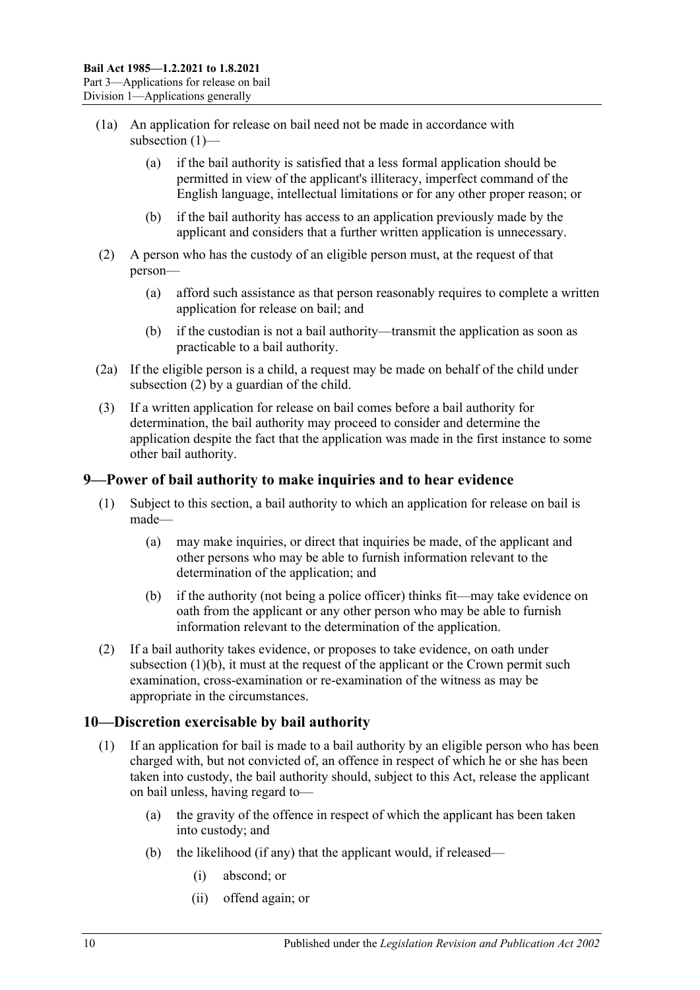- <span id="page-9-2"></span>(1a) An application for release on bail need not be made in accordance with [subsection](#page-8-3) (1)—
	- (a) if the bail authority is satisfied that a less formal application should be permitted in view of the applicant's illiteracy, imperfect command of the English language, intellectual limitations or for any other proper reason; or
	- (b) if the bail authority has access to an application previously made by the applicant and considers that a further written application is unnecessary.
- <span id="page-9-3"></span>(2) A person who has the custody of an eligible person must, at the request of that person—
	- (a) afford such assistance as that person reasonably requires to complete a written application for release on bail; and
	- (b) if the custodian is not a bail authority—transmit the application as soon as practicable to a bail authority.
- (2a) If the eligible person is a child, a request may be made on behalf of the child under [subsection](#page-9-3) (2) by a guardian of the child.
- (3) If a written application for release on bail comes before a bail authority for determination, the bail authority may proceed to consider and determine the application despite the fact that the application was made in the first instance to some other bail authority.

#### <span id="page-9-0"></span>**9—Power of bail authority to make inquiries and to hear evidence**

- (1) Subject to this section, a bail authority to which an application for release on bail is made—
	- (a) may make inquiries, or direct that inquiries be made, of the applicant and other persons who may be able to furnish information relevant to the determination of the application; and
	- (b) if the authority (not being a police officer) thinks fit—may take evidence on oath from the applicant or any other person who may be able to furnish information relevant to the determination of the application.
- <span id="page-9-4"></span>(2) If a bail authority takes evidence, or proposes to take evidence, on oath under [subsection](#page-9-4)  $(1)(b)$ , it must at the request of the applicant or the Crown permit such examination, cross-examination or re-examination of the witness as may be appropriate in the circumstances.

## <span id="page-9-1"></span>**10—Discretion exercisable by bail authority**

- (1) If an application for bail is made to a bail authority by an eligible person who has been charged with, but not convicted of, an offence in respect of which he or she has been taken into custody, the bail authority should, subject to this Act, release the applicant on bail unless, having regard to—
	- (a) the gravity of the offence in respect of which the applicant has been taken into custody; and
	- (b) the likelihood (if any) that the applicant would, if released—
		- (i) abscond; or
		- (ii) offend again; or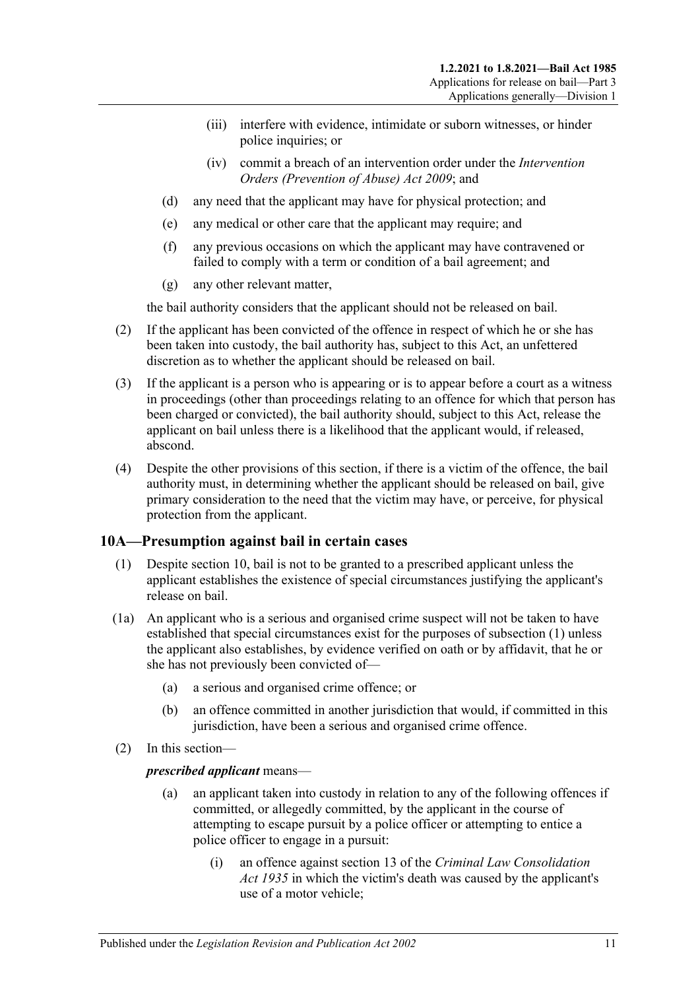- (iii) interfere with evidence, intimidate or suborn witnesses, or hinder police inquiries; or
- (iv) commit a breach of an intervention order under the *[Intervention](http://www.legislation.sa.gov.au/index.aspx?action=legref&type=act&legtitle=Intervention%20Orders%20(Prevention%20of%20Abuse)%20Act%202009)  [Orders \(Prevention of Abuse\) Act](http://www.legislation.sa.gov.au/index.aspx?action=legref&type=act&legtitle=Intervention%20Orders%20(Prevention%20of%20Abuse)%20Act%202009) 2009*; and
- (d) any need that the applicant may have for physical protection; and
- (e) any medical or other care that the applicant may require; and
- (f) any previous occasions on which the applicant may have contravened or failed to comply with a term or condition of a bail agreement; and
- (g) any other relevant matter,

the bail authority considers that the applicant should not be released on bail.

- (2) If the applicant has been convicted of the offence in respect of which he or she has been taken into custody, the bail authority has, subject to this Act, an unfettered discretion as to whether the applicant should be released on bail.
- (3) If the applicant is a person who is appearing or is to appear before a court as a witness in proceedings (other than proceedings relating to an offence for which that person has been charged or convicted), the bail authority should, subject to this Act, release the applicant on bail unless there is a likelihood that the applicant would, if released, abscond.
- (4) Despite the other provisions of this section, if there is a victim of the offence, the bail authority must, in determining whether the applicant should be released on bail, give primary consideration to the need that the victim may have, or perceive, for physical protection from the applicant.

## <span id="page-10-1"></span><span id="page-10-0"></span>**10A—Presumption against bail in certain cases**

- (1) Despite [section](#page-9-1) 10, bail is not to be granted to a prescribed applicant unless the applicant establishes the existence of special circumstances justifying the applicant's release on bail.
- (1a) An applicant who is a serious and organised crime suspect will not be taken to have established that special circumstances exist for the purposes of [subsection](#page-10-1) (1) unless the applicant also establishes, by evidence verified on oath or by affidavit, that he or she has not previously been convicted of—
	- (a) a serious and organised crime offence; or
	- (b) an offence committed in another jurisdiction that would, if committed in this jurisdiction, have been a serious and organised crime offence.
- (2) In this section—

#### *prescribed applicant* means—

- (a) an applicant taken into custody in relation to any of the following offences if committed, or allegedly committed, by the applicant in the course of attempting to escape pursuit by a police officer or attempting to entice a police officer to engage in a pursuit:
	- (i) an offence against section 13 of the *[Criminal Law Consolidation](http://www.legislation.sa.gov.au/index.aspx?action=legref&type=act&legtitle=Criminal%20Law%20Consolidation%20Act%201935)  Act [1935](http://www.legislation.sa.gov.au/index.aspx?action=legref&type=act&legtitle=Criminal%20Law%20Consolidation%20Act%201935)* in which the victim's death was caused by the applicant's use of a motor vehicle;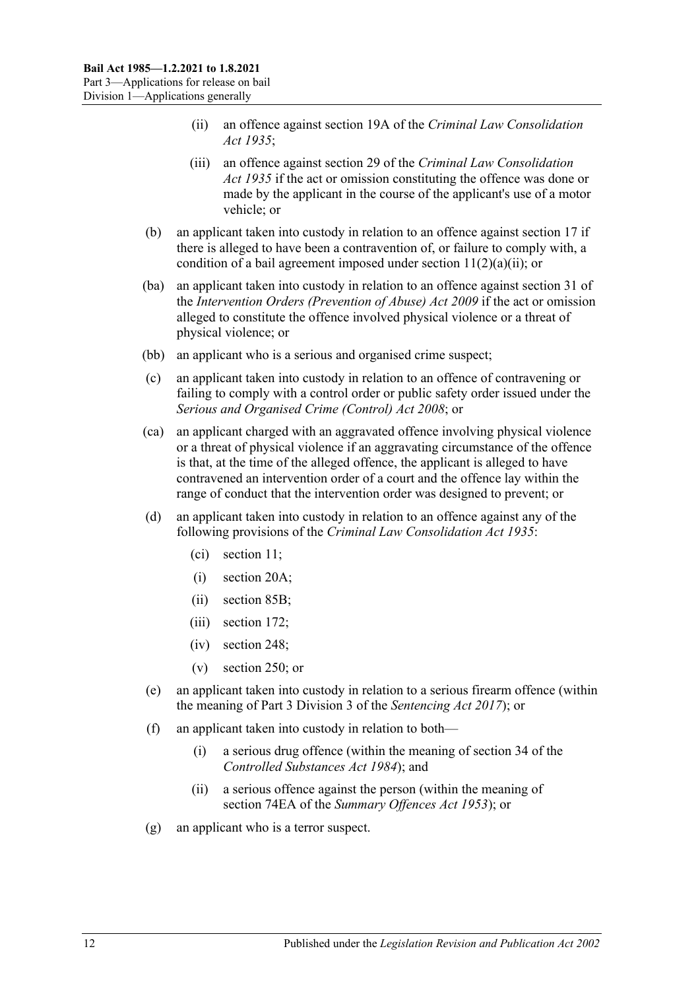- (ii) an offence against section 19A of the *[Criminal Law Consolidation](http://www.legislation.sa.gov.au/index.aspx?action=legref&type=act&legtitle=Criminal%20Law%20Consolidation%20Act%201935)  Act [1935](http://www.legislation.sa.gov.au/index.aspx?action=legref&type=act&legtitle=Criminal%20Law%20Consolidation%20Act%201935)*;
- (iii) an offence against section 29 of the *[Criminal Law Consolidation](http://www.legislation.sa.gov.au/index.aspx?action=legref&type=act&legtitle=Criminal%20Law%20Consolidation%20Act%201935)  Act [1935](http://www.legislation.sa.gov.au/index.aspx?action=legref&type=act&legtitle=Criminal%20Law%20Consolidation%20Act%201935)* if the act or omission constituting the offence was done or made by the applicant in the course of the applicant's use of a motor vehicle; or
- (b) an applicant taken into custody in relation to an offence against [section](#page-20-2) 17 if there is alleged to have been a contravention of, or failure to comply with, a condition of a bail agreement imposed under section  $11(2)(a)(ii)$ ; or
- (ba) an applicant taken into custody in relation to an offence against section 31 of the *[Intervention Orders \(Prevention of Abuse\) Act](http://www.legislation.sa.gov.au/index.aspx?action=legref&type=act&legtitle=Intervention%20Orders%20(Prevention%20of%20Abuse)%20Act%202009) 2009* if the act or omission alleged to constitute the offence involved physical violence or a threat of physical violence; or
- (bb) an applicant who is a serious and organised crime suspect;
- (c) an applicant taken into custody in relation to an offence of contravening or failing to comply with a control order or public safety order issued under the *[Serious and Organised Crime \(Control\) Act](http://www.legislation.sa.gov.au/index.aspx?action=legref&type=act&legtitle=Serious%20and%20Organised%20Crime%20(Control)%20Act%202008) 2008*; or
- (ca) an applicant charged with an aggravated offence involving physical violence or a threat of physical violence if an aggravating circumstance of the offence is that, at the time of the alleged offence, the applicant is alleged to have contravened an intervention order of a court and the offence lay within the range of conduct that the intervention order was designed to prevent; or
- (d) an applicant taken into custody in relation to an offence against any of the following provisions of the *[Criminal Law Consolidation Act](http://www.legislation.sa.gov.au/index.aspx?action=legref&type=act&legtitle=Criminal%20Law%20Consolidation%20Act%201935) 1935*:
	- (ci) section 11;
	- (i) section 20A;
	- (ii) section 85B;
	- (iii) section 172;
	- (iv) section 248;
	- (v) section 250; or
- (e) an applicant taken into custody in relation to a serious firearm offence (within the meaning of Part 3 Division 3 of the *[Sentencing Act](http://www.legislation.sa.gov.au/index.aspx?action=legref&type=act&legtitle=Sentencing%20Act%202017) 2017*); or
- (f) an applicant taken into custody in relation to both—
	- (i) a serious drug offence (within the meaning of section 34 of the *[Controlled Substances Act](http://www.legislation.sa.gov.au/index.aspx?action=legref&type=act&legtitle=Controlled%20Substances%20Act%201984) 1984*); and
	- (ii) a serious offence against the person (within the meaning of section 74EA of the *[Summary Offences Act](http://www.legislation.sa.gov.au/index.aspx?action=legref&type=act&legtitle=Summary%20Offences%20Act%201953) 1953*); or
- (g) an applicant who is a terror suspect.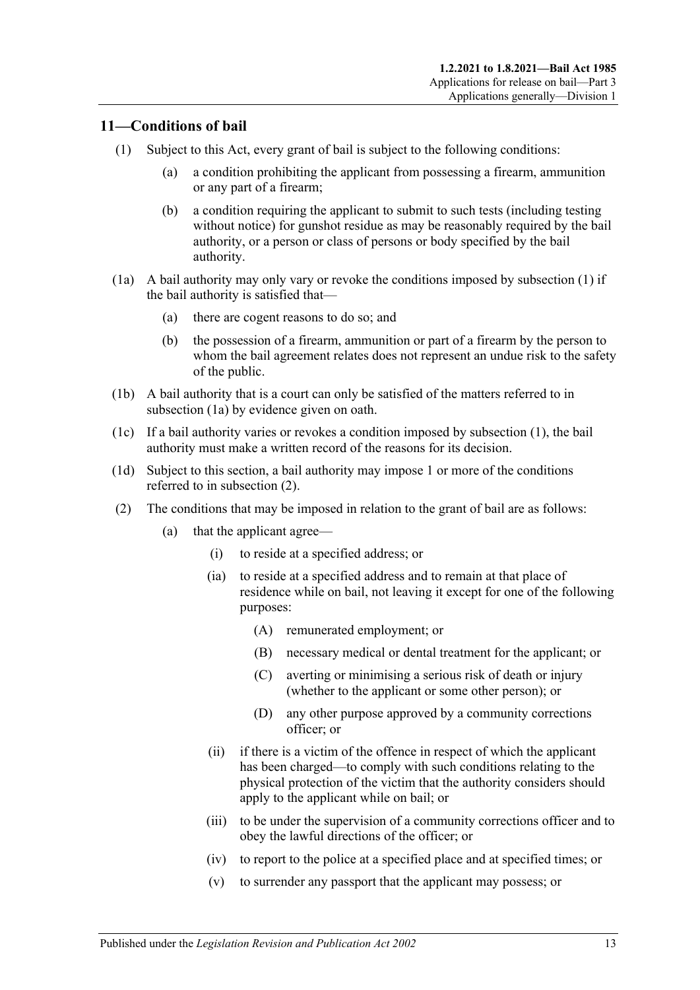## <span id="page-12-2"></span><span id="page-12-0"></span>**11—Conditions of bail**

- <span id="page-12-7"></span>(1) Subject to this Act, every grant of bail is subject to the following conditions:
	- (a) a condition prohibiting the applicant from possessing a firearm, ammunition or any part of a firearm;
	- (b) a condition requiring the applicant to submit to such tests (including testing without notice) for gunshot residue as may be reasonably required by the bail authority, or a person or class of persons or body specified by the bail authority.
- <span id="page-12-3"></span>(1a) A bail authority may only vary or revoke the conditions imposed by [subsection](#page-12-2) (1) if the bail authority is satisfied that—
	- (a) there are cogent reasons to do so; and
	- (b) the possession of a firearm, ammunition or part of a firearm by the person to whom the bail agreement relates does not represent an undue risk to the safety of the public.
- (1b) A bail authority that is a court can only be satisfied of the matters referred to in [subsection](#page-12-3) (1a) by evidence given on oath.
- (1c) If a bail authority varies or revokes a condition imposed by [subsection](#page-12-2) (1), the bail authority must make a written record of the reasons for its decision.
- (1d) Subject to this section, a bail authority may impose 1 or more of the conditions referred to in [subsection](#page-12-4) (2).
- <span id="page-12-6"></span><span id="page-12-5"></span><span id="page-12-4"></span><span id="page-12-1"></span>(2) The conditions that may be imposed in relation to the grant of bail are as follows:
	- (a) that the applicant agree—
		- (i) to reside at a specified address; or
		- (ia) to reside at a specified address and to remain at that place of residence while on bail, not leaving it except for one of the following purposes:
			- (A) remunerated employment; or
			- (B) necessary medical or dental treatment for the applicant; or
			- (C) averting or minimising a serious risk of death or injury (whether to the applicant or some other person); or
			- (D) any other purpose approved by a community corrections officer; or
		- (ii) if there is a victim of the offence in respect of which the applicant has been charged—to comply with such conditions relating to the physical protection of the victim that the authority considers should apply to the applicant while on bail; or
		- (iii) to be under the supervision of a community corrections officer and to obey the lawful directions of the officer; or
		- (iv) to report to the police at a specified place and at specified times; or
		- (v) to surrender any passport that the applicant may possess; or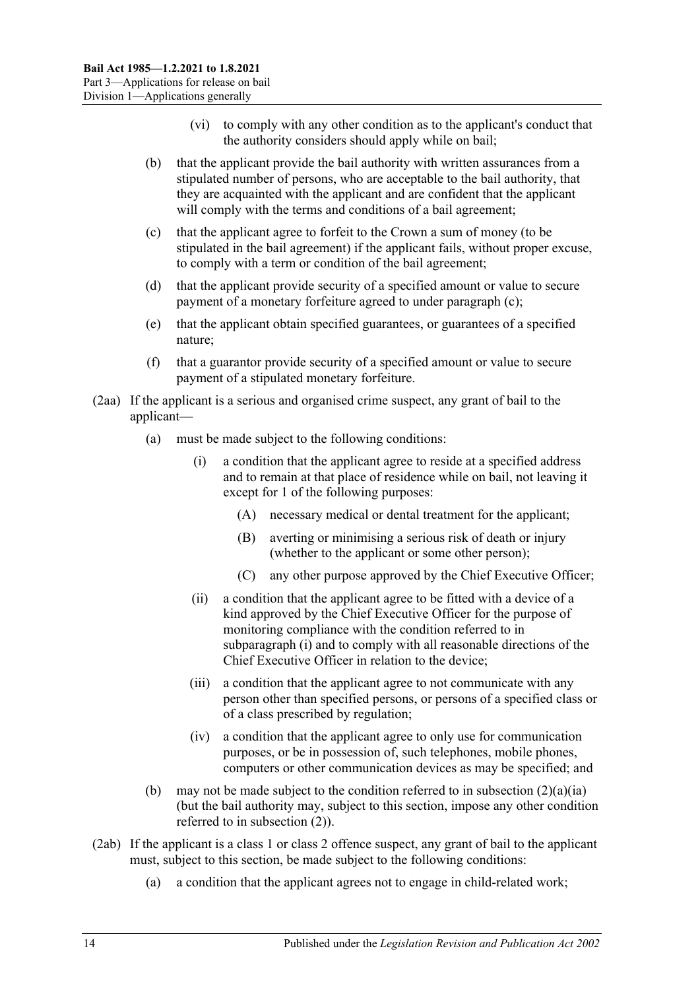- (vi) to comply with any other condition as to the applicant's conduct that the authority considers should apply while on bail;
- (b) that the applicant provide the bail authority with written assurances from a stipulated number of persons, who are acceptable to the bail authority, that they are acquainted with the applicant and are confident that the applicant will comply with the terms and conditions of a bail agreement;
- <span id="page-13-0"></span>(c) that the applicant agree to forfeit to the Crown a sum of money (to be stipulated in the bail agreement) if the applicant fails, without proper excuse, to comply with a term or condition of the bail agreement;
- (d) that the applicant provide security of a specified amount or value to secure payment of a monetary forfeiture agreed to under [paragraph](#page-13-0) (c);
- (e) that the applicant obtain specified guarantees, or guarantees of a specified nature;
- (f) that a guarantor provide security of a specified amount or value to secure payment of a stipulated monetary forfeiture.
- <span id="page-13-1"></span>(2aa) If the applicant is a serious and organised crime suspect, any grant of bail to the applicant—
	- (a) must be made subject to the following conditions:
		- (i) a condition that the applicant agree to reside at a specified address and to remain at that place of residence while on bail, not leaving it except for 1 of the following purposes:
			- (A) necessary medical or dental treatment for the applicant;
			- (B) averting or minimising a serious risk of death or injury (whether to the applicant or some other person);
			- (C) any other purpose approved by the Chief Executive Officer;
		- (ii) a condition that the applicant agree to be fitted with a device of a kind approved by the Chief Executive Officer for the purpose of monitoring compliance with the condition referred to in [subparagraph](#page-13-1) (i) and to comply with all reasonable directions of the Chief Executive Officer in relation to the device;
		- (iii) a condition that the applicant agree to not communicate with any person other than specified persons, or persons of a specified class or of a class prescribed by regulation;
		- (iv) a condition that the applicant agree to only use for communication purposes, or be in possession of, such telephones, mobile phones, computers or other communication devices as may be specified; and
	- (b) may not be made subject to the condition referred to in [subsection](#page-12-5)  $(2)(a)(ia)$ (but the bail authority may, subject to this section, impose any other condition referred to in [subsection](#page-12-4) (2)).
- <span id="page-13-2"></span>(2ab) If the applicant is a class 1 or class 2 offence suspect, any grant of bail to the applicant must, subject to this section, be made subject to the following conditions:
	- (a) a condition that the applicant agrees not to engage in child-related work;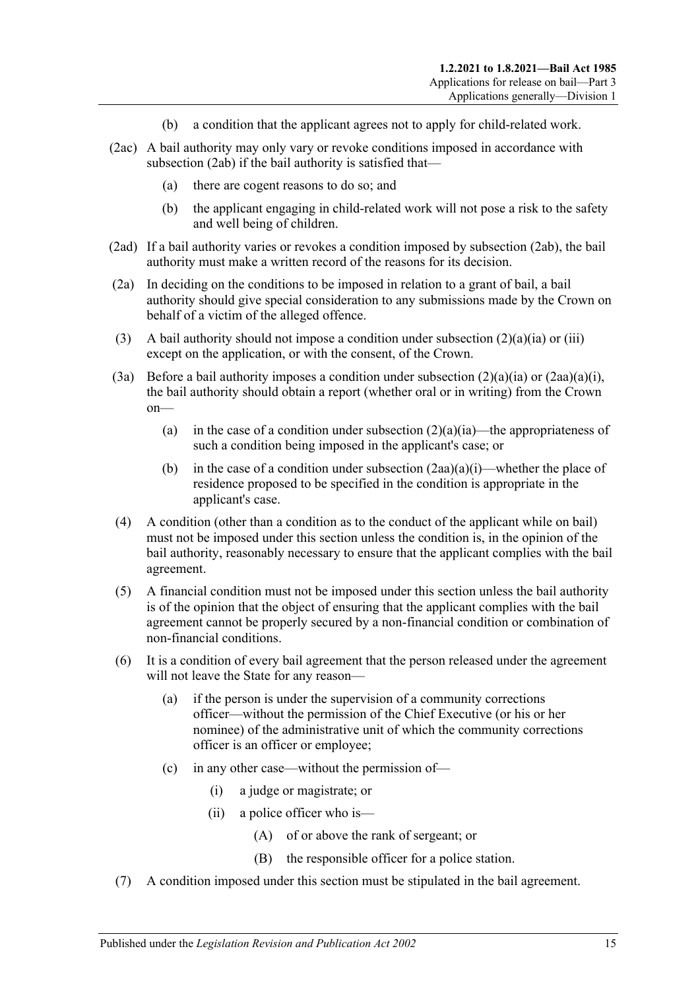- (b) a condition that the applicant agrees not to apply for child-related work.
- (2ac) A bail authority may only vary or revoke conditions imposed in accordance with [subsection](#page-13-2) (2ab) if the bail authority is satisfied that—
	- (a) there are cogent reasons to do so; and
	- (b) the applicant engaging in child-related work will not pose a risk to the safety and well being of children.
- (2ad) If a bail authority varies or revokes a condition imposed by [subsection](#page-13-2) (2ab), the bail authority must make a written record of the reasons for its decision.
- (2a) In deciding on the conditions to be imposed in relation to a grant of bail, a bail authority should give special consideration to any submissions made by the Crown on behalf of a victim of the alleged offence.
- (3) A bail authority should not impose a condition under [subsection](#page-12-5)  $(2)(a)(ia)$  or [\(iii\)](#page-12-6) except on the application, or with the consent, of the Crown.
- (3a) Before a bail authority imposes a condition under [subsection](#page-12-5)  $(2)(a)(ia)$  or  $(2aa)(a)(i)$ , the bail authority should obtain a report (whether oral or in writing) from the Crown on
	- (a) in the case of a condition under [subsection](#page-12-5)  $(2)(a)(ia)$ —the appropriateness of such a condition being imposed in the applicant's case; or
	- (b) in the case of a condition under [subsection](#page-13-1)  $(2aa)(a)(i)$ —whether the place of residence proposed to be specified in the condition is appropriate in the applicant's case.
- (4) A condition (other than a condition as to the conduct of the applicant while on bail) must not be imposed under this section unless the condition is, in the opinion of the bail authority, reasonably necessary to ensure that the applicant complies with the bail agreement.
- (5) A financial condition must not be imposed under this section unless the bail authority is of the opinion that the object of ensuring that the applicant complies with the bail agreement cannot be properly secured by a non-financial condition or combination of non-financial conditions.
- (6) It is a condition of every bail agreement that the person released under the agreement will not leave the State for any reason—
	- (a) if the person is under the supervision of a community corrections officer—without the permission of the Chief Executive (or his or her nominee) of the administrative unit of which the community corrections officer is an officer or employee;
	- (c) in any other case—without the permission of—
		- (i) a judge or magistrate; or
		- (ii) a police officer who is—
			- (A) of or above the rank of sergeant; or
			- (B) the responsible officer for a police station.
- (7) A condition imposed under this section must be stipulated in the bail agreement.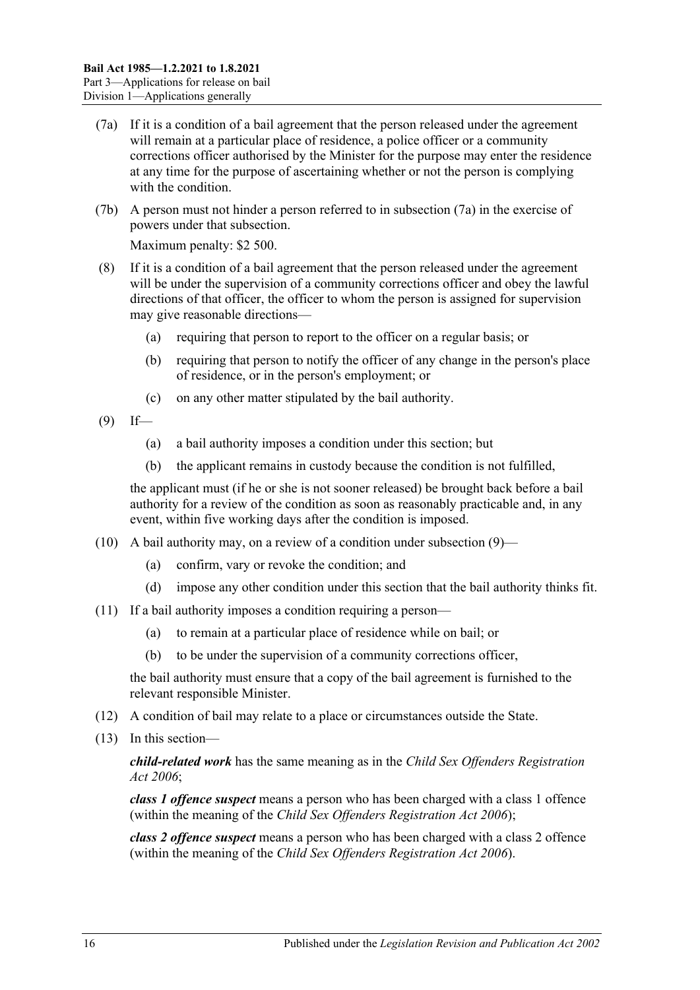- <span id="page-15-0"></span>(7a) If it is a condition of a bail agreement that the person released under the agreement will remain at a particular place of residence, a police officer or a community corrections officer authorised by the Minister for the purpose may enter the residence at any time for the purpose of ascertaining whether or not the person is complying with the condition.
- (7b) A person must not hinder a person referred to in [subsection](#page-15-0) (7a) in the exercise of powers under that subsection.

Maximum penalty: \$2 500.

- (8) If it is a condition of a bail agreement that the person released under the agreement will be under the supervision of a community corrections officer and obey the lawful directions of that officer, the officer to whom the person is assigned for supervision may give reasonable directions—
	- (a) requiring that person to report to the officer on a regular basis; or
	- (b) requiring that person to notify the officer of any change in the person's place of residence, or in the person's employment; or
	- (c) on any other matter stipulated by the bail authority.

<span id="page-15-1"></span> $(9)$  If—

- (a) a bail authority imposes a condition under this section; but
- (b) the applicant remains in custody because the condition is not fulfilled,

the applicant must (if he or she is not sooner released) be brought back before a bail authority for a review of the condition as soon as reasonably practicable and, in any event, within five working days after the condition is imposed.

- (10) A bail authority may, on a review of a condition under [subsection](#page-15-1) (9)—
	- (a) confirm, vary or revoke the condition; and
	- (d) impose any other condition under this section that the bail authority thinks fit.
- (11) If a bail authority imposes a condition requiring a person—
	- (a) to remain at a particular place of residence while on bail; or
	- (b) to be under the supervision of a community corrections officer,

the bail authority must ensure that a copy of the bail agreement is furnished to the relevant responsible Minister.

- (12) A condition of bail may relate to a place or circumstances outside the State.
- (13) In this section—

*child-related work* has the same meaning as in the *[Child Sex Offenders Registration](http://www.legislation.sa.gov.au/index.aspx?action=legref&type=act&legtitle=Child%20Sex%20Offenders%20Registration%20Act%202006)  Act [2006](http://www.legislation.sa.gov.au/index.aspx?action=legref&type=act&legtitle=Child%20Sex%20Offenders%20Registration%20Act%202006)*;

*class 1 offence suspect* means a person who has been charged with a class 1 offence (within the meaning of the *[Child Sex Offenders Registration Act](http://www.legislation.sa.gov.au/index.aspx?action=legref&type=act&legtitle=Child%20Sex%20Offenders%20Registration%20Act%202006) 2006*);

*class 2 offence suspect* means a person who has been charged with a class 2 offence (within the meaning of the *[Child Sex Offenders Registration Act](http://www.legislation.sa.gov.au/index.aspx?action=legref&type=act&legtitle=Child%20Sex%20Offenders%20Registration%20Act%202006) 2006*).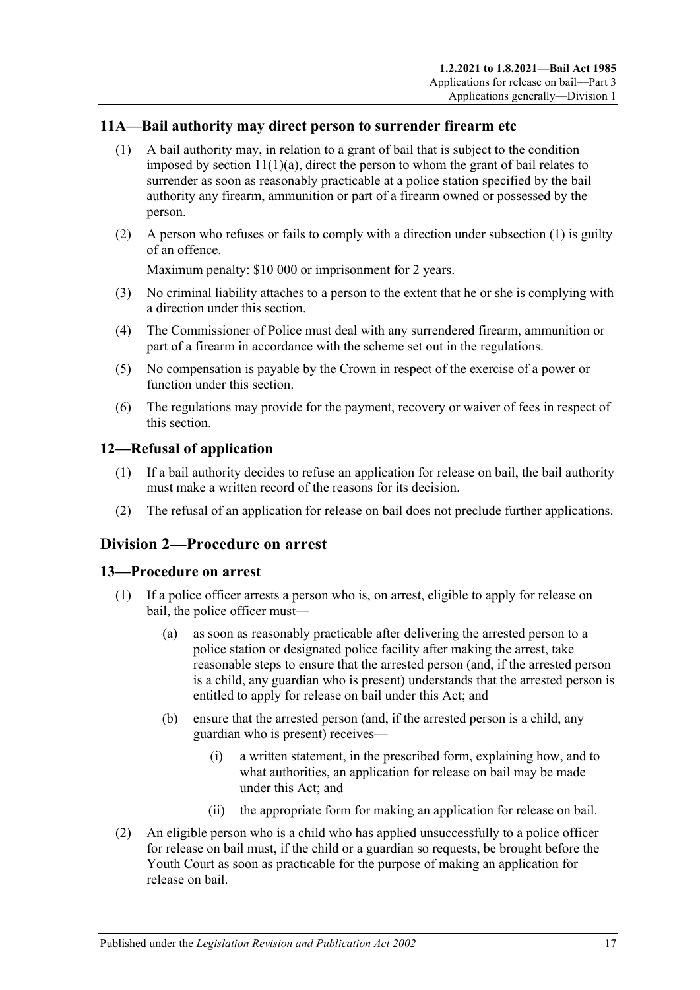## <span id="page-16-4"></span><span id="page-16-0"></span>**11A—Bail authority may direct person to surrender firearm etc**

- (1) A bail authority may, in relation to a grant of bail that is subject to the condition imposed by section  $11(1)(a)$ , direct the person to whom the grant of bail relates to surrender as soon as reasonably practicable at a police station specified by the bail authority any firearm, ammunition or part of a firearm owned or possessed by the person.
- (2) A person who refuses or fails to comply with a direction under [subsection](#page-16-4) (1) is guilty of an offence.

Maximum penalty: \$10 000 or imprisonment for 2 years.

- (3) No criminal liability attaches to a person to the extent that he or she is complying with a direction under this section.
- (4) The Commissioner of Police must deal with any surrendered firearm, ammunition or part of a firearm in accordance with the scheme set out in the regulations.
- (5) No compensation is payable by the Crown in respect of the exercise of a power or function under this section.
- (6) The regulations may provide for the payment, recovery or waiver of fees in respect of this section.

## <span id="page-16-1"></span>**12—Refusal of application**

- (1) If a bail authority decides to refuse an application for release on bail, the bail authority must make a written record of the reasons for its decision.
- (2) The refusal of an application for release on bail does not preclude further applications.

## <span id="page-16-2"></span>**Division 2—Procedure on arrest**

## <span id="page-16-3"></span>**13—Procedure on arrest**

- (1) If a police officer arrests a person who is, on arrest, eligible to apply for release on bail, the police officer must—
	- (a) as soon as reasonably practicable after delivering the arrested person to a police station or designated police facility after making the arrest, take reasonable steps to ensure that the arrested person (and, if the arrested person is a child, any guardian who is present) understands that the arrested person is entitled to apply for release on bail under this Act; and
	- (b) ensure that the arrested person (and, if the arrested person is a child, any guardian who is present) receives—
		- (i) a written statement, in the prescribed form, explaining how, and to what authorities, an application for release on bail may be made under this Act; and
		- (ii) the appropriate form for making an application for release on bail.
- (2) An eligible person who is a child who has applied unsuccessfully to a police officer for release on bail must, if the child or a guardian so requests, be brought before the Youth Court as soon as practicable for the purpose of making an application for release on bail.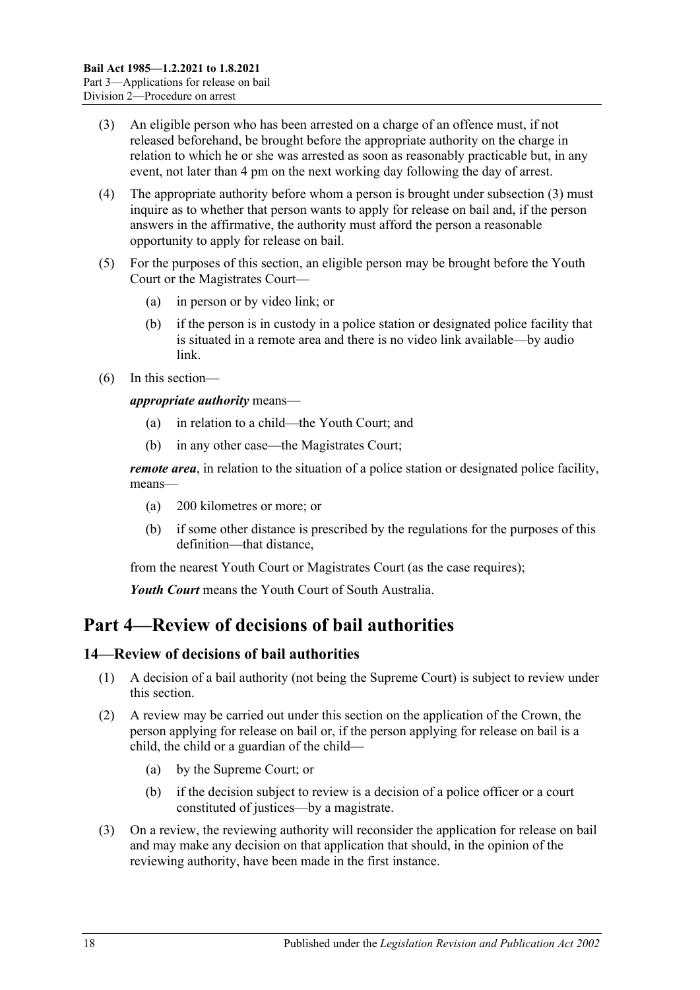- <span id="page-17-2"></span>(3) An eligible person who has been arrested on a charge of an offence must, if not released beforehand, be brought before the appropriate authority on the charge in relation to which he or she was arrested as soon as reasonably practicable but, in any event, not later than 4 pm on the next working day following the day of arrest.
- (4) The appropriate authority before whom a person is brought under [subsection](#page-17-2) (3) must inquire as to whether that person wants to apply for release on bail and, if the person answers in the affirmative, the authority must afford the person a reasonable opportunity to apply for release on bail.
- (5) For the purposes of this section, an eligible person may be brought before the Youth Court or the Magistrates Court—
	- (a) in person or by video link; or
	- (b) if the person is in custody in a police station or designated police facility that is situated in a remote area and there is no video link available—by audio link.
- (6) In this section—

*appropriate authority* means—

- (a) in relation to a child—the Youth Court; and
- (b) in any other case—the Magistrates Court;

*remote area*, in relation to the situation of a police station or designated police facility, means—

- (a) 200 kilometres or more; or
- (b) if some other distance is prescribed by the regulations for the purposes of this definition—that distance,

from the nearest Youth Court or Magistrates Court (as the case requires);

*Youth Court* means the Youth Court of South Australia.

## <span id="page-17-0"></span>**Part 4—Review of decisions of bail authorities**

## <span id="page-17-1"></span>**14—Review of decisions of bail authorities**

- (1) A decision of a bail authority (not being the Supreme Court) is subject to review under this section.
- (2) A review may be carried out under this section on the application of the Crown, the person applying for release on bail or, if the person applying for release on bail is a child, the child or a guardian of the child—
	- (a) by the Supreme Court; or
	- (b) if the decision subject to review is a decision of a police officer or a court constituted of justices—by a magistrate.
- (3) On a review, the reviewing authority will reconsider the application for release on bail and may make any decision on that application that should, in the opinion of the reviewing authority, have been made in the first instance.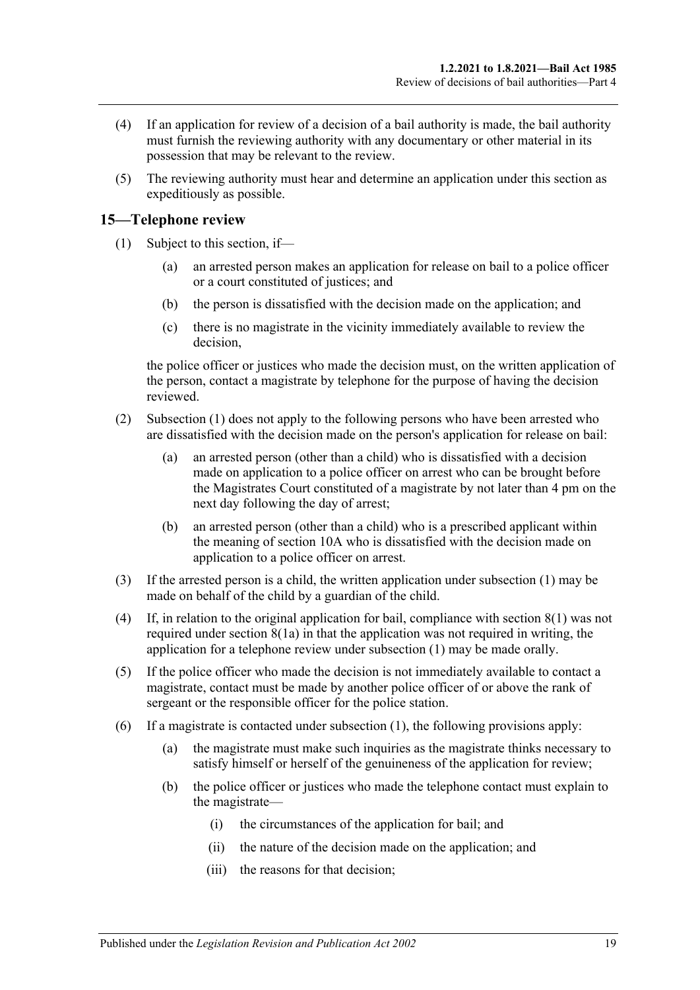- (4) If an application for review of a decision of a bail authority is made, the bail authority must furnish the reviewing authority with any documentary or other material in its possession that may be relevant to the review.
- (5) The reviewing authority must hear and determine an application under this section as expeditiously as possible.

## <span id="page-18-1"></span><span id="page-18-0"></span>**15—Telephone review**

- (1) Subject to this section, if—
	- (a) an arrested person makes an application for release on bail to a police officer or a court constituted of justices; and
	- (b) the person is dissatisfied with the decision made on the application; and
	- (c) there is no magistrate in the vicinity immediately available to review the decision,

the police officer or justices who made the decision must, on the written application of the person, contact a magistrate by telephone for the purpose of having the decision reviewed.

- (2) [Subsection](#page-18-1) (1) does not apply to the following persons who have been arrested who are dissatisfied with the decision made on the person's application for release on bail:
	- (a) an arrested person (other than a child) who is dissatisfied with a decision made on application to a police officer on arrest who can be brought before the Magistrates Court constituted of a magistrate by not later than 4 pm on the next day following the day of arrest;
	- (b) an arrested person (other than a child) who is a prescribed applicant within the meaning of [section](#page-10-0) 10A who is dissatisfied with the decision made on application to a police officer on arrest.
- (3) If the arrested person is a child, the written application under [subsection](#page-18-1) (1) may be made on behalf of the child by a guardian of the child.
- (4) If, in relation to the original application for bail, compliance with [section](#page-8-3) 8(1) was not required under [section](#page-9-2) 8(1a) in that the application was not required in writing, the application for a telephone review under [subsection](#page-18-1) (1) may be made orally.
- (5) If the police officer who made the decision is not immediately available to contact a magistrate, contact must be made by another police officer of or above the rank of sergeant or the responsible officer for the police station.
- (6) If a magistrate is contacted under [subsection](#page-18-1) (1), the following provisions apply:
	- (a) the magistrate must make such inquiries as the magistrate thinks necessary to satisfy himself or herself of the genuineness of the application for review;
	- (b) the police officer or justices who made the telephone contact must explain to the magistrate—
		- (i) the circumstances of the application for bail; and
		- (ii) the nature of the decision made on the application; and
		- (iii) the reasons for that decision;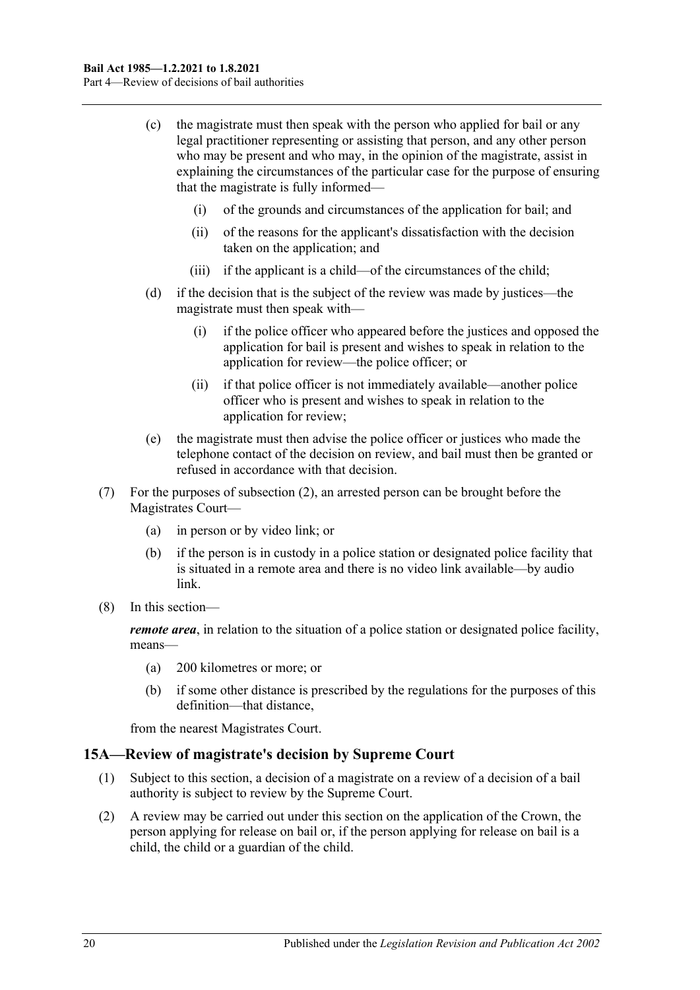- (c) the magistrate must then speak with the person who applied for bail or any legal practitioner representing or assisting that person, and any other person who may be present and who may, in the opinion of the magistrate, assist in explaining the circumstances of the particular case for the purpose of ensuring that the magistrate is fully informed—
	- (i) of the grounds and circumstances of the application for bail; and
	- (ii) of the reasons for the applicant's dissatisfaction with the decision taken on the application; and
	- (iii) if the applicant is a child—of the circumstances of the child;
- (d) if the decision that is the subject of the review was made by justices—the magistrate must then speak with—
	- (i) if the police officer who appeared before the justices and opposed the application for bail is present and wishes to speak in relation to the application for review—the police officer; or
	- (ii) if that police officer is not immediately available—another police officer who is present and wishes to speak in relation to the application for review;
- (e) the magistrate must then advise the police officer or justices who made the telephone contact of the decision on review, and bail must then be granted or refused in accordance with that decision.
- (7) For the purposes of subsection (2), an arrested person can be brought before the Magistrates Court—
	- (a) in person or by video link; or
	- (b) if the person is in custody in a police station or designated police facility that is situated in a remote area and there is no video link available—by audio link.
- (8) In this section—

*remote area*, in relation to the situation of a police station or designated police facility, means—

- (a) 200 kilometres or more; or
- (b) if some other distance is prescribed by the regulations for the purposes of this definition—that distance,

from the nearest Magistrates Court.

#### <span id="page-19-0"></span>**15A—Review of magistrate's decision by Supreme Court**

- (1) Subject to this section, a decision of a magistrate on a review of a decision of a bail authority is subject to review by the Supreme Court.
- (2) A review may be carried out under this section on the application of the Crown, the person applying for release on bail or, if the person applying for release on bail is a child, the child or a guardian of the child.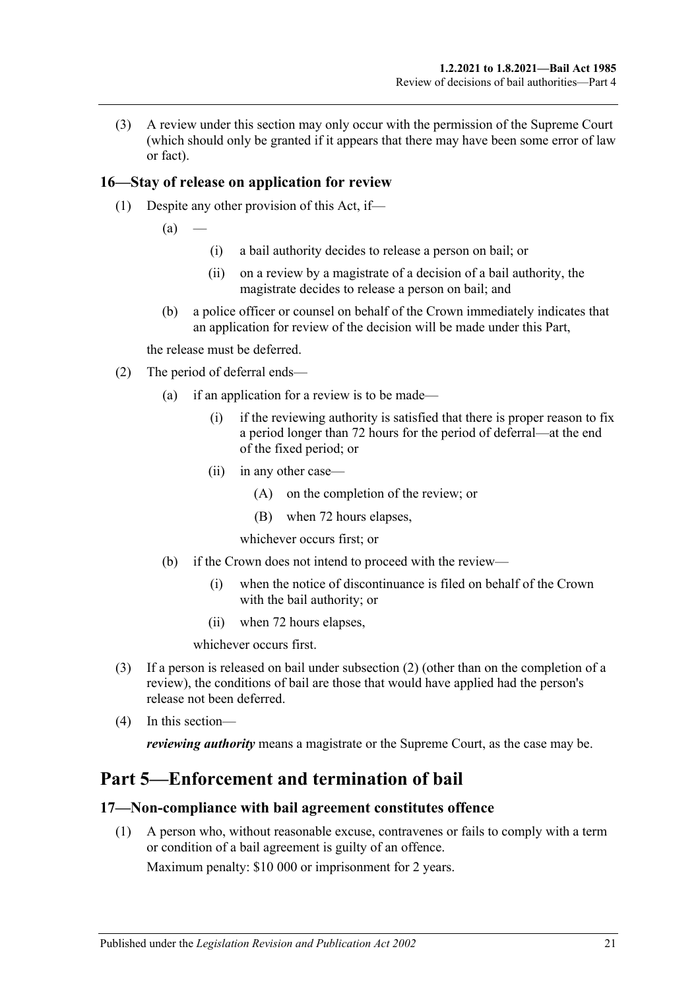(3) A review under this section may only occur with the permission of the Supreme Court (which should only be granted if it appears that there may have been some error of law or fact).

## <span id="page-20-0"></span>**16—Stay of release on application for review**

- (1) Despite any other provision of this Act, if—
	- $(a)$
- (i) a bail authority decides to release a person on bail; or
- (ii) on a review by a magistrate of a decision of a bail authority, the magistrate decides to release a person on bail; and
- (b) a police officer or counsel on behalf of the Crown immediately indicates that an application for review of the decision will be made under this Part,

the release must be deferred.

- <span id="page-20-3"></span>(2) The period of deferral ends—
	- (a) if an application for a review is to be made—
		- (i) if the reviewing authority is satisfied that there is proper reason to fix a period longer than 72 hours for the period of deferral—at the end of the fixed period; or
		- (ii) in any other case—
			- (A) on the completion of the review; or
			- (B) when 72 hours elapses,

whichever occurs first; or

- (b) if the Crown does not intend to proceed with the review—
	- (i) when the notice of discontinuance is filed on behalf of the Crown with the bail authority; or
	- (ii) when 72 hours elapses,

whichever occurs first.

- (3) If a person is released on bail under [subsection](#page-20-3) (2) (other than on the completion of a review), the conditions of bail are those that would have applied had the person's release not been deferred.
- (4) In this section—

*reviewing authority* means a magistrate or the Supreme Court, as the case may be.

## <span id="page-20-1"></span>**Part 5—Enforcement and termination of bail**

#### <span id="page-20-2"></span>**17—Non-compliance with bail agreement constitutes offence**

(1) A person who, without reasonable excuse, contravenes or fails to comply with a term or condition of a bail agreement is guilty of an offence. Maximum penalty: \$10 000 or imprisonment for 2 years.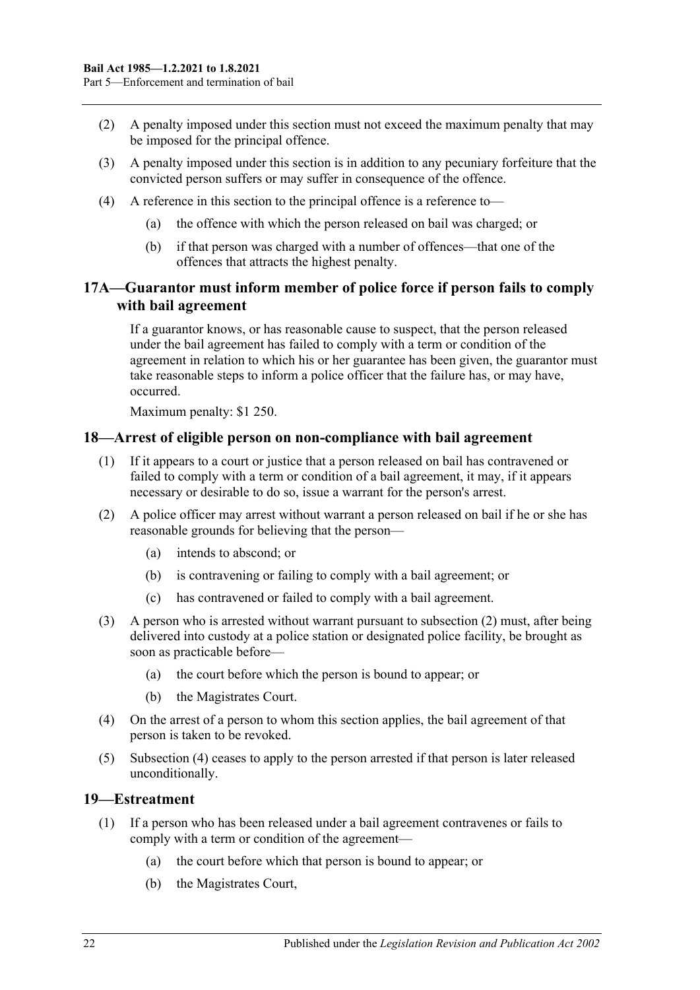- (2) A penalty imposed under this section must not exceed the maximum penalty that may be imposed for the principal offence.
- (3) A penalty imposed under this section is in addition to any pecuniary forfeiture that the convicted person suffers or may suffer in consequence of the offence.
- (4) A reference in this section to the principal offence is a reference to—
	- (a) the offence with which the person released on bail was charged; or
	- (b) if that person was charged with a number of offences—that one of the offences that attracts the highest penalty.

## <span id="page-21-0"></span>**17A—Guarantor must inform member of police force if person fails to comply with bail agreement**

If a guarantor knows, or has reasonable cause to suspect, that the person released under the bail agreement has failed to comply with a term or condition of the agreement in relation to which his or her guarantee has been given, the guarantor must take reasonable steps to inform a police officer that the failure has, or may have, occurred.

Maximum penalty: \$1 250.

#### <span id="page-21-1"></span>**18—Arrest of eligible person on non-compliance with bail agreement**

- (1) If it appears to a court or justice that a person released on bail has contravened or failed to comply with a term or condition of a bail agreement, it may, if it appears necessary or desirable to do so, issue a warrant for the person's arrest.
- <span id="page-21-3"></span>(2) A police officer may arrest without warrant a person released on bail if he or she has reasonable grounds for believing that the person—
	- (a) intends to abscond; or
	- (b) is contravening or failing to comply with a bail agreement; or
	- (c) has contravened or failed to comply with a bail agreement.
- (3) A person who is arrested without warrant pursuant to [subsection](#page-21-3) (2) must, after being delivered into custody at a police station or designated police facility, be brought as soon as practicable before—
	- (a) the court before which the person is bound to appear; or
	- (b) the Magistrates Court.
- <span id="page-21-4"></span>(4) On the arrest of a person to whom this section applies, the bail agreement of that person is taken to be revoked.
- (5) [Subsection](#page-21-4) (4) ceases to apply to the person arrested if that person is later released unconditionally.

#### <span id="page-21-5"></span><span id="page-21-2"></span>**19—Estreatment**

- (1) If a person who has been released under a bail agreement contravenes or fails to comply with a term or condition of the agreement—
	- (a) the court before which that person is bound to appear; or
	- (b) the Magistrates Court,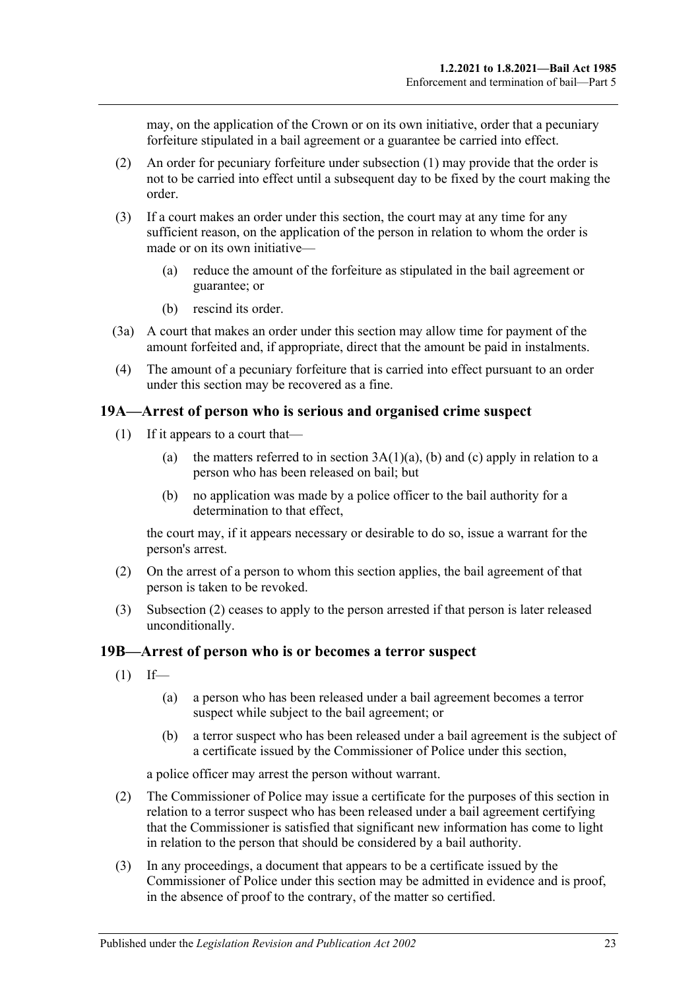may, on the application of the Crown or on its own initiative, order that a pecuniary forfeiture stipulated in a bail agreement or a guarantee be carried into effect.

- (2) An order for pecuniary forfeiture under [subsection](#page-21-5) (1) may provide that the order is not to be carried into effect until a subsequent day to be fixed by the court making the order.
- (3) If a court makes an order under this section, the court may at any time for any sufficient reason, on the application of the person in relation to whom the order is made or on its own initiative—
	- (a) reduce the amount of the forfeiture as stipulated in the bail agreement or guarantee; or
	- (b) rescind its order.
- (3a) A court that makes an order under this section may allow time for payment of the amount forfeited and, if appropriate, direct that the amount be paid in instalments.
- (4) The amount of a pecuniary forfeiture that is carried into effect pursuant to an order under this section may be recovered as a fine.

#### <span id="page-22-0"></span>**19A—Arrest of person who is serious and organised crime suspect**

- (1) If it appears to a court that—
	- (a) the matters referred to in section  $3A(1)(a)$ , [\(b\)](#page-3-3) and [\(c\)](#page-3-4) apply in relation to a person who has been released on bail; but
	- (b) no application was made by a police officer to the bail authority for a determination to that effect.

the court may, if it appears necessary or desirable to do so, issue a warrant for the person's arrest.

- (2) On the arrest of a person to whom this section applies, the bail agreement of that person is taken to be revoked.
- (3) Subsection (2) ceases to apply to the person arrested if that person is later released unconditionally.

#### <span id="page-22-1"></span>**19B—Arrest of person who is or becomes a terror suspect**

- $(1)$  If—
	- (a) a person who has been released under a bail agreement becomes a terror suspect while subject to the bail agreement; or
	- (b) a terror suspect who has been released under a bail agreement is the subject of a certificate issued by the Commissioner of Police under this section,

a police officer may arrest the person without warrant.

- (2) The Commissioner of Police may issue a certificate for the purposes of this section in relation to a terror suspect who has been released under a bail agreement certifying that the Commissioner is satisfied that significant new information has come to light in relation to the person that should be considered by a bail authority.
- (3) In any proceedings, a document that appears to be a certificate issued by the Commissioner of Police under this section may be admitted in evidence and is proof, in the absence of proof to the contrary, of the matter so certified.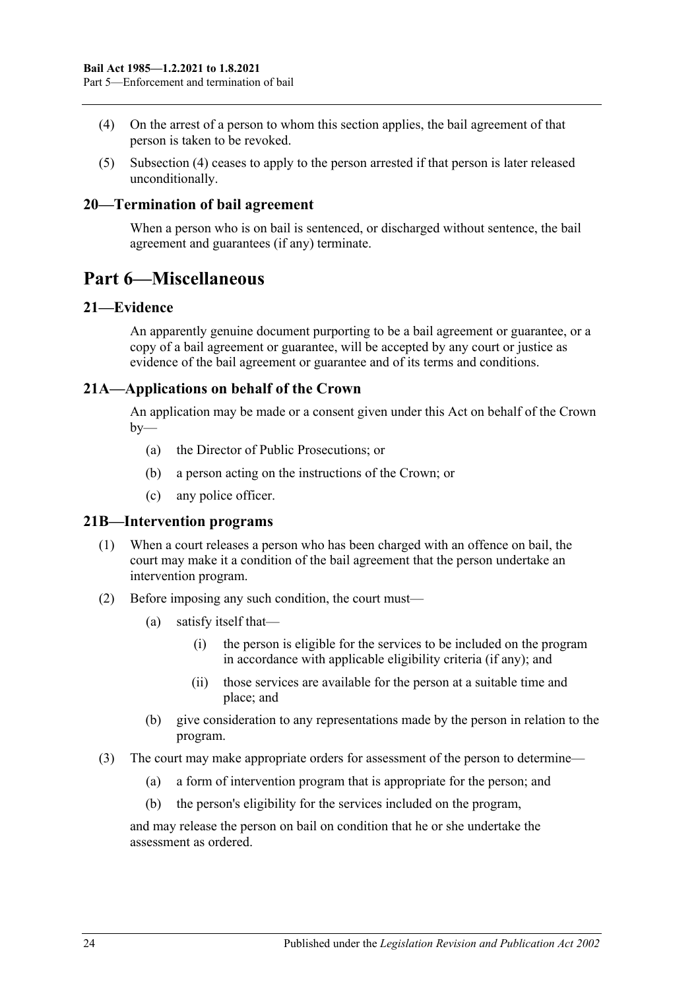- <span id="page-23-5"></span>(4) On the arrest of a person to whom this section applies, the bail agreement of that person is taken to be revoked.
- (5) [Subsection](#page-23-5) (4) ceases to apply to the person arrested if that person is later released unconditionally.

#### <span id="page-23-0"></span>**20—Termination of bail agreement**

When a person who is on bail is sentenced, or discharged without sentence, the bail agreement and guarantees (if any) terminate.

## <span id="page-23-1"></span>**Part 6—Miscellaneous**

#### <span id="page-23-2"></span>**21—Evidence**

An apparently genuine document purporting to be a bail agreement or guarantee, or a copy of a bail agreement or guarantee, will be accepted by any court or justice as evidence of the bail agreement or guarantee and of its terms and conditions.

## <span id="page-23-3"></span>**21A—Applications on behalf of the Crown**

An application may be made or a consent given under this Act on behalf of the Crown  $by-$ 

- (a) the Director of Public Prosecutions; or
- (b) a person acting on the instructions of the Crown; or
- (c) any police officer.

#### <span id="page-23-4"></span>**21B—Intervention programs**

- (1) When a court releases a person who has been charged with an offence on bail, the court may make it a condition of the bail agreement that the person undertake an intervention program.
- (2) Before imposing any such condition, the court must—
	- (a) satisfy itself that—
		- (i) the person is eligible for the services to be included on the program in accordance with applicable eligibility criteria (if any); and
		- (ii) those services are available for the person at a suitable time and place; and
	- (b) give consideration to any representations made by the person in relation to the program.
- (3) The court may make appropriate orders for assessment of the person to determine—
	- (a) a form of intervention program that is appropriate for the person; and
	- (b) the person's eligibility for the services included on the program,

and may release the person on bail on condition that he or she undertake the assessment as ordered.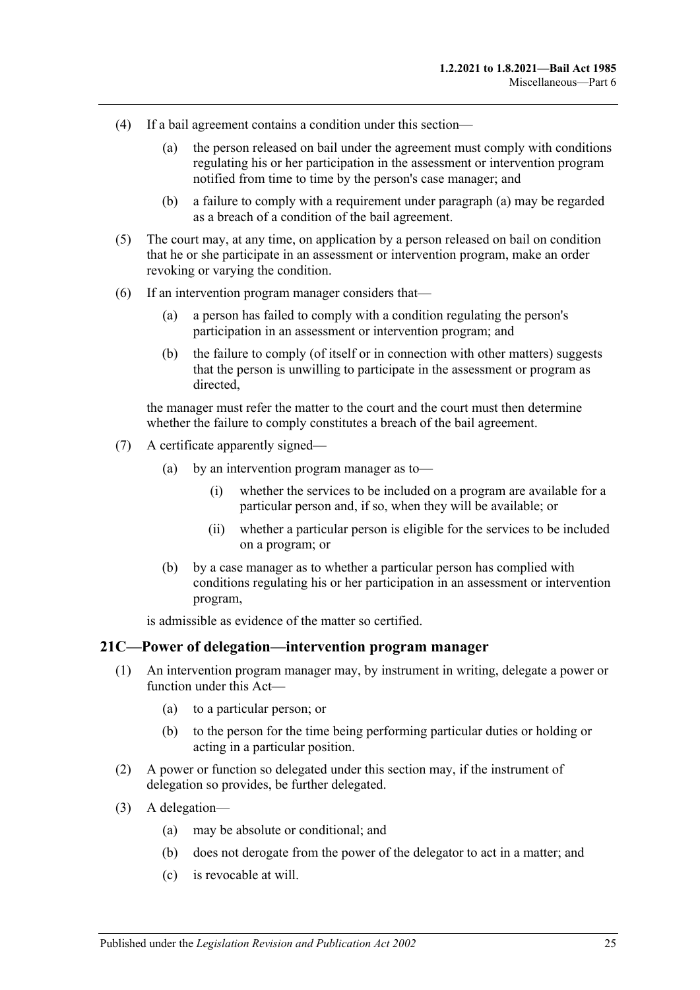- <span id="page-24-1"></span>(4) If a bail agreement contains a condition under this section—
	- (a) the person released on bail under the agreement must comply with conditions regulating his or her participation in the assessment or intervention program notified from time to time by the person's case manager; and
	- (b) a failure to comply with a requirement under [paragraph](#page-24-1) (a) may be regarded as a breach of a condition of the bail agreement.
- (5) The court may, at any time, on application by a person released on bail on condition that he or she participate in an assessment or intervention program, make an order revoking or varying the condition.
- (6) If an intervention program manager considers that—
	- (a) a person has failed to comply with a condition regulating the person's participation in an assessment or intervention program; and
	- (b) the failure to comply (of itself or in connection with other matters) suggests that the person is unwilling to participate in the assessment or program as directed,

the manager must refer the matter to the court and the court must then determine whether the failure to comply constitutes a breach of the bail agreement.

- (7) A certificate apparently signed—
	- (a) by an intervention program manager as to—
		- (i) whether the services to be included on a program are available for a particular person and, if so, when they will be available; or
		- (ii) whether a particular person is eligible for the services to be included on a program; or
	- (b) by a case manager as to whether a particular person has complied with conditions regulating his or her participation in an assessment or intervention program,

is admissible as evidence of the matter so certified.

#### <span id="page-24-0"></span>**21C—Power of delegation—intervention program manager**

- (1) An intervention program manager may, by instrument in writing, delegate a power or function under this Act—
	- (a) to a particular person; or
	- (b) to the person for the time being performing particular duties or holding or acting in a particular position.
- (2) A power or function so delegated under this section may, if the instrument of delegation so provides, be further delegated.
- (3) A delegation—
	- (a) may be absolute or conditional; and
	- (b) does not derogate from the power of the delegator to act in a matter; and
	- (c) is revocable at will.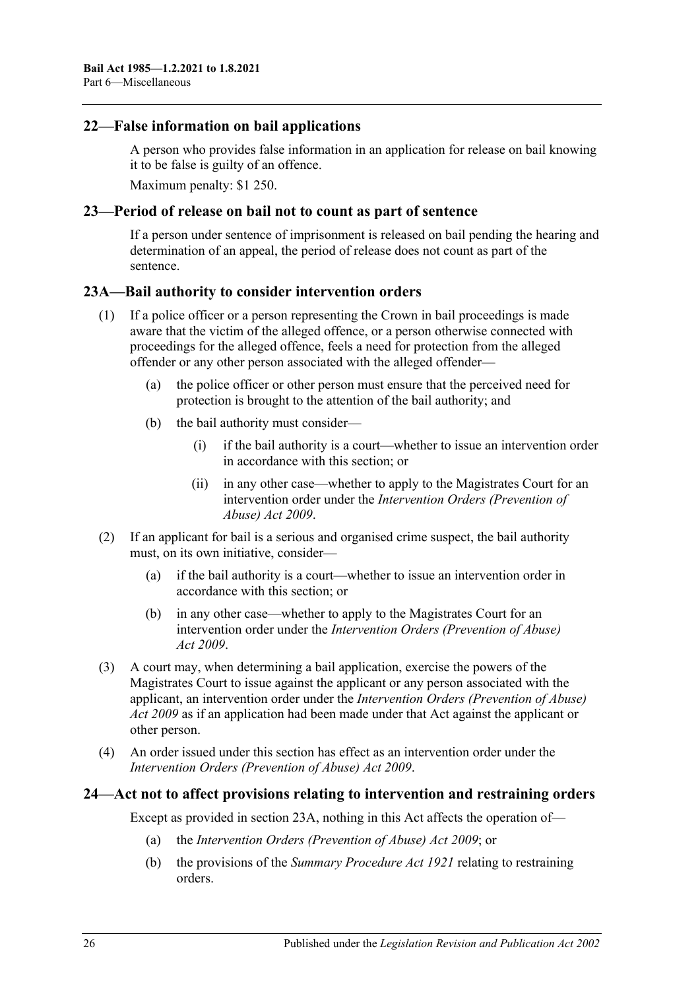### <span id="page-25-0"></span>**22—False information on bail applications**

A person who provides false information in an application for release on bail knowing it to be false is guilty of an offence.

Maximum penalty: \$1 250.

#### <span id="page-25-1"></span>**23—Period of release on bail not to count as part of sentence**

If a person under sentence of imprisonment is released on bail pending the hearing and determination of an appeal, the period of release does not count as part of the sentence.

## <span id="page-25-2"></span>**23A—Bail authority to consider intervention orders**

- (1) If a police officer or a person representing the Crown in bail proceedings is made aware that the victim of the alleged offence, or a person otherwise connected with proceedings for the alleged offence, feels a need for protection from the alleged offender or any other person associated with the alleged offender—
	- (a) the police officer or other person must ensure that the perceived need for protection is brought to the attention of the bail authority; and
	- (b) the bail authority must consider—
		- (i) if the bail authority is a court—whether to issue an intervention order in accordance with this section; or
		- (ii) in any other case—whether to apply to the Magistrates Court for an intervention order under the *[Intervention Orders \(Prevention of](http://www.legislation.sa.gov.au/index.aspx?action=legref&type=act&legtitle=Intervention%20Orders%20(Prevention%20of%20Abuse)%20Act%202009)  [Abuse\) Act](http://www.legislation.sa.gov.au/index.aspx?action=legref&type=act&legtitle=Intervention%20Orders%20(Prevention%20of%20Abuse)%20Act%202009) 2009*.
- (2) If an applicant for bail is a serious and organised crime suspect, the bail authority must, on its own initiative, consider—
	- (a) if the bail authority is a court—whether to issue an intervention order in accordance with this section; or
	- (b) in any other case—whether to apply to the Magistrates Court for an intervention order under the *[Intervention Orders \(Prevention of Abuse\)](http://www.legislation.sa.gov.au/index.aspx?action=legref&type=act&legtitle=Intervention%20Orders%20(Prevention%20of%20Abuse)%20Act%202009)  Act [2009](http://www.legislation.sa.gov.au/index.aspx?action=legref&type=act&legtitle=Intervention%20Orders%20(Prevention%20of%20Abuse)%20Act%202009)*.
- (3) A court may, when determining a bail application, exercise the powers of the Magistrates Court to issue against the applicant or any person associated with the applicant, an intervention order under the *[Intervention Orders \(Prevention of Abuse\)](http://www.legislation.sa.gov.au/index.aspx?action=legref&type=act&legtitle=Intervention%20Orders%20(Prevention%20of%20Abuse)%20Act%202009)  Act [2009](http://www.legislation.sa.gov.au/index.aspx?action=legref&type=act&legtitle=Intervention%20Orders%20(Prevention%20of%20Abuse)%20Act%202009)* as if an application had been made under that Act against the applicant or other person.
- (4) An order issued under this section has effect as an intervention order under the *[Intervention Orders \(Prevention of Abuse\) Act](http://www.legislation.sa.gov.au/index.aspx?action=legref&type=act&legtitle=Intervention%20Orders%20(Prevention%20of%20Abuse)%20Act%202009) 2009*.

## <span id="page-25-3"></span>**24—Act not to affect provisions relating to intervention and restraining orders**

Except as provided in [section](#page-25-2) 23A, nothing in this Act affects the operation of—

- (a) the *[Intervention Orders \(Prevention of Abuse\) Act](http://www.legislation.sa.gov.au/index.aspx?action=legref&type=act&legtitle=Intervention%20Orders%20(Prevention%20of%20Abuse)%20Act%202009) 2009*; or
- (b) the provisions of the *[Summary Procedure Act](http://www.legislation.sa.gov.au/index.aspx?action=legref&type=act&legtitle=Summary%20Procedure%20Act%201921) 1921* relating to restraining orders.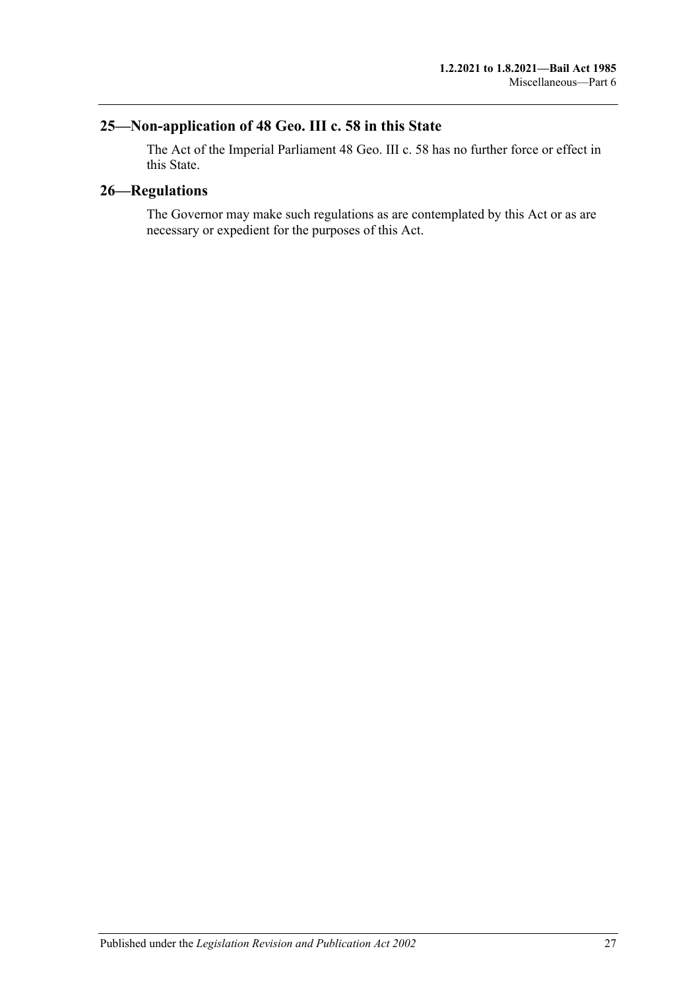## <span id="page-26-0"></span>**25—Non-application of 48 Geo. III c. 58 in this State**

The Act of the Imperial Parliament 48 Geo. III c. 58 has no further force or effect in this State.

## <span id="page-26-1"></span>**26—Regulations**

The Governor may make such regulations as are contemplated by this Act or as are necessary or expedient for the purposes of this Act.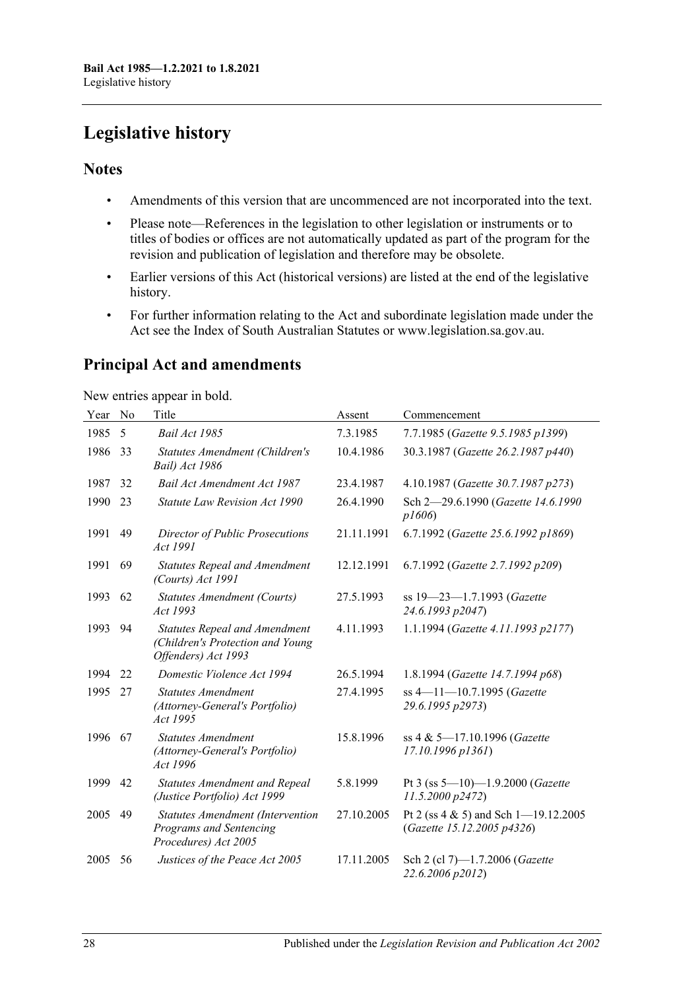# <span id="page-27-0"></span>**Legislative history**

## **Notes**

- Amendments of this version that are uncommenced are not incorporated into the text.
- Please note—References in the legislation to other legislation or instruments or to titles of bodies or offices are not automatically updated as part of the program for the revision and publication of legislation and therefore may be obsolete.
- Earlier versions of this Act (historical versions) are listed at the end of the legislative history.
- For further information relating to the Act and subordinate legislation made under the Act see the Index of South Australian Statutes or www.legislation.sa.gov.au.

## **Principal Act and amendments**

New entries appear in bold.

| Year | No | Title                                                                                           | Assent     | Commencement                                                       |
|------|----|-------------------------------------------------------------------------------------------------|------------|--------------------------------------------------------------------|
| 1985 | 5  | Bail Act 1985                                                                                   | 7.3.1985   | 7.7.1985 (Gazette 9.5.1985 p1399)                                  |
| 1986 | 33 | Statutes Amendment (Children's<br>Bail) Act 1986                                                | 10.4.1986  | 30.3.1987 (Gazette 26.2.1987 p440)                                 |
| 1987 | 32 | Bail Act Amendment Act 1987                                                                     | 23.4.1987  | 4.10.1987 (Gazette 30.7.1987 p273)                                 |
| 1990 | 23 | Statute Law Revision Act 1990                                                                   | 26.4.1990  | Sch 2-29.6.1990 (Gazette 14.6.1990<br>p1606                        |
| 1991 | 49 | Director of Public Prosecutions<br>Act 1991                                                     | 21.11.1991 | 6.7.1992 (Gazette 25.6.1992 p1869)                                 |
| 1991 | 69 | <b>Statutes Repeal and Amendment</b><br>(Courts) Act 1991                                       | 12.12.1991 | 6.7.1992 (Gazette 2.7.1992 p209)                                   |
| 1993 | 62 | <b>Statutes Amendment (Courts)</b><br>Act 1993                                                  | 27.5.1993  | ss 19-23-1.7.1993 (Gazette<br>24.6.1993 p2047)                     |
| 1993 | 94 | <b>Statutes Repeal and Amendment</b><br>(Children's Protection and Young<br>Offenders) Act 1993 | 4.11.1993  | 1.1.1994 (Gazette 4.11.1993 p2177)                                 |
| 1994 | 22 | Domestic Violence Act 1994                                                                      | 26.5.1994  | 1.8.1994 (Gazette 14.7.1994 p68)                                   |
| 1995 | 27 | <b>Statutes Amendment</b><br>(Attorney-General's Portfolio)<br>Act 1995                         | 27.4.1995  | $ss$ 4-11-10.7.1995 (Gazette<br>29.6.1995 p2973)                   |
| 1996 | 67 | Statutes Amendment<br>(Attorney-General's Portfolio)<br>Act 1996                                | 15.8.1996  | ss 4 & 5-17.10.1996 (Gazette<br>$17.10.1996$ $p1361$ )             |
| 1999 | 42 | <b>Statutes Amendment and Repeal</b><br>(Justice Portfolio) Act 1999                            | 5.8.1999   | Pt 3 (ss $5-10$ )-1.9.2000 (Gazette<br>11.5.2000 p2472             |
| 2005 | 49 | <b>Statutes Amendment (Intervention</b><br>Programs and Sentencing<br>Procedures) Act 2005      | 27.10.2005 | Pt 2 (ss 4 & 5) and Sch 1-19.12.2005<br>(Gazette 15.12.2005 p4326) |
| 2005 | 56 | Justices of the Peace Act 2005                                                                  | 17.11.2005 | Sch 2 (cl 7)-1.7.2006 (Gazette<br>22.6.2006 p2012)                 |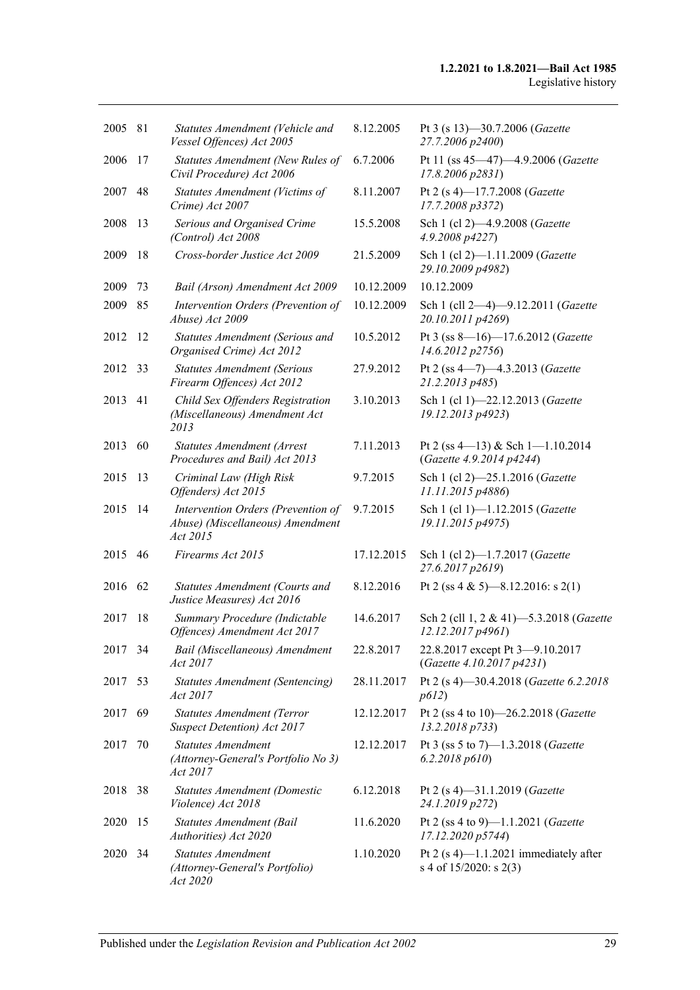| 2005 81 |    | Statutes Amendment (Vehicle and<br>Vessel Offences) Act 2005                       | 8.12.2005  | Pt 3 (s 13)-30.7.2006 (Gazette<br>27.7.2006 p2400)                      |
|---------|----|------------------------------------------------------------------------------------|------------|-------------------------------------------------------------------------|
| 2006    | 17 | Statutes Amendment (New Rules of<br>Civil Procedure) Act 2006                      | 6.7.2006   | Pt 11 (ss 45-47)-4.9.2006 (Gazette<br>17.8.2006 p2831                   |
| 2007    | 48 | Statutes Amendment (Victims of<br>Crime) Act 2007                                  | 8.11.2007  | Pt 2 (s 4)-17.7.2008 (Gazette<br>17.7.2008 p3372)                       |
| 2008    | 13 | Serious and Organised Crime<br>(Control) Act 2008                                  | 15.5.2008  | Sch 1 (cl 2)-4.9.2008 (Gazette<br>4.9.2008 p4227)                       |
| 2009    | 18 | Cross-border Justice Act 2009                                                      | 21.5.2009  | Sch 1 (cl 2)-1.11.2009 (Gazette<br>29.10.2009 p4982)                    |
| 2009    | 73 | Bail (Arson) Amendment Act 2009                                                    | 10.12.2009 | 10.12.2009                                                              |
| 2009    | 85 | Intervention Orders (Prevention of<br>Abuse) Act 2009                              | 10.12.2009 | Sch 1 (cll 2-4)-9.12.2011 (Gazette<br>20.10.2011 p4269)                 |
| 2012    | 12 | Statutes Amendment (Serious and<br>Organised Crime) Act 2012                       | 10.5.2012  | Pt 3 (ss 8-16)-17.6.2012 (Gazette<br>14.6.2012 p2756)                   |
| 2012    | 33 | <b>Statutes Amendment (Serious</b><br>Firearm Offences) Act 2012                   | 27.9.2012  | Pt 2 (ss 4-7)-4.3.2013 (Gazette<br>21.2.2013 p485)                      |
| 2013    | 41 | Child Sex Offenders Registration<br>(Miscellaneous) Amendment Act<br>2013          | 3.10.2013  | Sch 1 (cl 1)-22.12.2013 (Gazette<br>19.12.2013 p4923)                   |
| 2013    | 60 | <b>Statutes Amendment (Arrest</b><br>Procedures and Bail) Act 2013                 | 7.11.2013  | Pt 2 (ss 4-13) & Sch 1-1.10.2014<br>(Gazette 4.9.2014 p4244)            |
| 2015    | 13 | Criminal Law (High Risk<br>Offenders) Act 2015                                     | 9.7.2015   | Sch 1 (cl 2)-25.1.2016 (Gazette<br>11.11.2015 p4886)                    |
| 2015    | 14 | Intervention Orders (Prevention of<br>Abuse) (Miscellaneous) Amendment<br>Act 2015 | 9.7.2015   | Sch 1 (cl 1)-1.12.2015 (Gazette<br>19.11.2015 p4975)                    |
| 2015    | 46 | Firearms Act 2015                                                                  | 17.12.2015 | Sch 1 (cl 2)-1.7.2017 (Gazette<br>27.6.2017 p2619)                      |
| 2016    | 62 | Statutes Amendment (Courts and<br>Justice Measures) Act 2016                       | 8.12.2016  | Pt 2 (ss 4 & 5)—8.12.2016: s 2(1)                                       |
| 2017    | 18 | Summary Procedure (Indictable<br>Offences) Amendment Act 2017                      | 14.6.2017  | Sch 2 (cll 1, 2 & 41)-5.3.2018 (Gazette<br>12.12.2017 p4961)            |
| 2017 34 |    | Bail (Miscellaneous) Amendment<br>Act 2017                                         | 22.8.2017  | 22.8.2017 except Pt 3-9.10.2017<br>(Gazette 4.10.2017 p4231)            |
| 2017    | 53 | Statutes Amendment (Sentencing)<br>Act 2017                                        | 28.11.2017 | Pt 2 (s 4)-30.4.2018 (Gazette 6.2.2018<br>p612)                         |
| 2017 69 |    | <b>Statutes Amendment (Terror</b><br>Suspect Detention) Act 2017                   | 12.12.2017 | Pt 2 (ss 4 to 10)-26.2.2018 (Gazette<br>13.2.2018p733                   |
| 2017    | 70 | <b>Statutes Amendment</b><br>(Attorney-General's Portfolio No 3)<br>Act 2017       | 12.12.2017 | Pt 3 (ss 5 to 7)–1.3.2018 ( <i>Gazette</i><br>6.2.2018 p610             |
| 2018    | 38 | <b>Statutes Amendment (Domestic</b><br>Violence) Act 2018                          | 6.12.2018  | Pt 2 (s 4)-31.1.2019 ( <i>Gazette</i><br>24.1.2019 p272)                |
| 2020    | 15 | Statutes Amendment (Bail<br>Authorities) Act 2020                                  | 11.6.2020  | Pt 2 (ss 4 to 9)-1.1.2021 (Gazette<br>17.12.2020 p5744)                 |
| 2020    | 34 | <b>Statutes Amendment</b><br>(Attorney-General's Portfolio)<br>Act 2020            | 1.10.2020  | Pt 2 $(s 4)$ —1.1.2021 immediately after<br>s 4 of $15/2020$ : s $2(3)$ |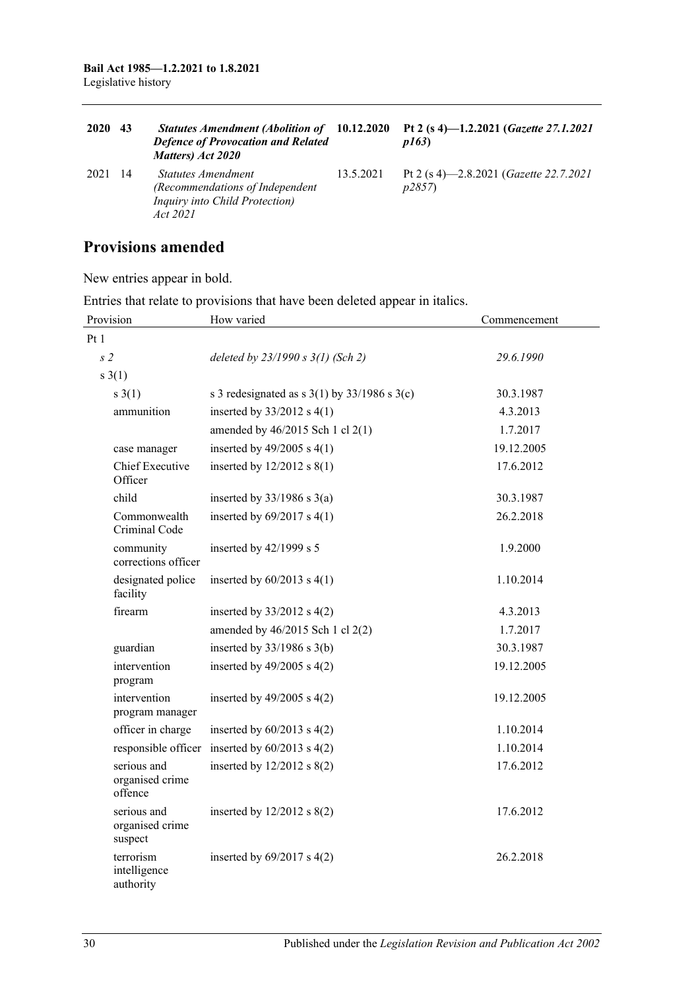| <b>2020</b> | 43 | <b>Statutes Amendment (Abolition of 10.12.2020)</b><br><b>Defence of Provocation and Related</b><br>Matters) Act 2020 |           | Pt 2 (s 4)-1.2.2021 ( <i>Gazette 27.1.2021</i><br>p163) |
|-------------|----|-----------------------------------------------------------------------------------------------------------------------|-----------|---------------------------------------------------------|
| 2021        | 14 | Statutes Amendment<br>(Recommendations of Independent)<br>Inquiry into Child Protection)<br>Act 2021                  | 13.5.2021 | Pt 2 (s 4)-2.8.2021 ( <i>Gazette 22.7.2021</i><br>p2857 |

## **Provisions amended**

New entries appear in bold.

Entries that relate to provisions that have been deleted appear in italics.

| Provision                                 | How varied                                         | Commencement |
|-------------------------------------------|----------------------------------------------------|--------------|
| Pt 1                                      |                                                    |              |
| s <sub>2</sub>                            | deleted by $23/1990 s 3(1)$ (Sch 2)                | 29.6.1990    |
| $s \; 3(1)$                               |                                                    |              |
| $s \; 3(1)$                               | s 3 redesignated as s $3(1)$ by $33/1986$ s $3(c)$ | 30.3.1987    |
| ammunition                                | inserted by $33/2012$ s 4(1)                       | 4.3.2013     |
|                                           | amended by 46/2015 Sch 1 cl 2(1)                   | 1.7.2017     |
| case manager                              | inserted by $49/2005$ s $4(1)$                     | 19.12.2005   |
| <b>Chief Executive</b><br>Officer         | inserted by $12/2012$ s $8(1)$                     | 17.6.2012    |
| child                                     | inserted by $33/1986$ s $3(a)$                     | 30.3.1987    |
| Commonwealth<br>Criminal Code             | inserted by $69/2017$ s $4(1)$                     | 26.2.2018    |
| community<br>corrections officer          | inserted by 42/1999 s 5                            | 1.9.2000     |
| designated police<br>facility             | inserted by $60/2013$ s $4(1)$                     | 1.10.2014    |
| firearm                                   | inserted by $33/2012$ s 4(2)                       | 4.3.2013     |
|                                           | amended by 46/2015 Sch 1 cl 2(2)                   | 1.7.2017     |
| guardian                                  | inserted by $33/1986$ s $3(b)$                     | 30.3.1987    |
| intervention<br>program                   | inserted by $49/2005$ s $4(2)$                     | 19.12.2005   |
| intervention<br>program manager           | inserted by $49/2005$ s $4(2)$                     | 19.12.2005   |
| officer in charge                         | inserted by $60/2013$ s $4(2)$                     | 1.10.2014    |
| responsible officer                       | inserted by $60/2013$ s $4(2)$                     | 1.10.2014    |
| serious and<br>organised crime<br>offence | inserted by $12/2012$ s $8(2)$                     | 17.6.2012    |
| serious and<br>organised crime<br>suspect | inserted by $12/2012$ s $8(2)$                     | 17.6.2012    |
| terrorism<br>intelligence<br>authority    | inserted by $69/2017$ s $4(2)$                     | 26.2.2018    |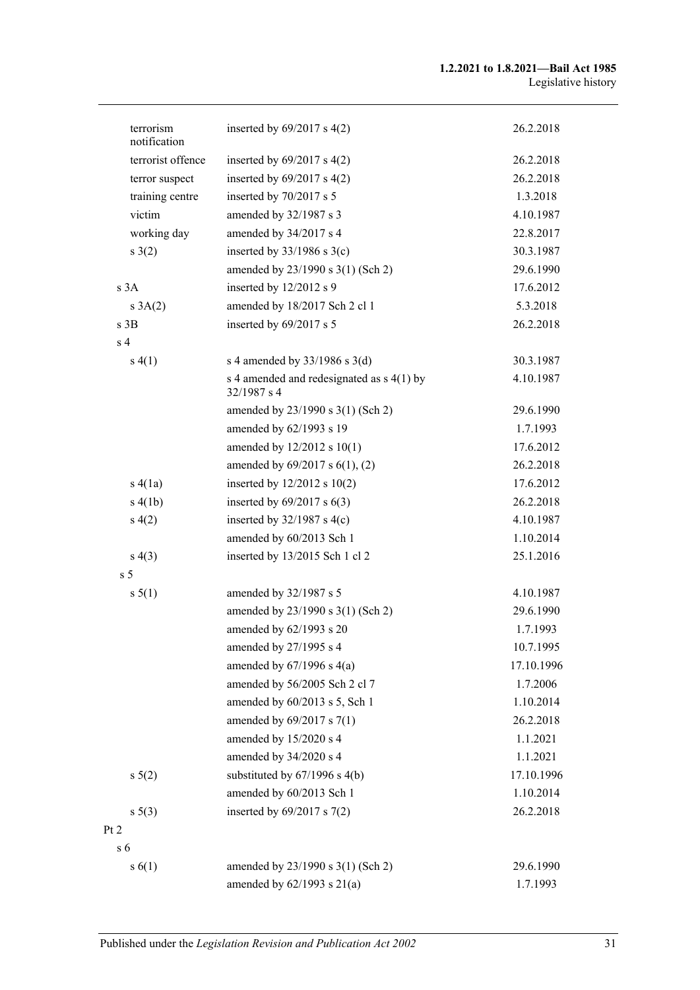#### **1.2.2021 to 1.8.2021—Bail Act 1985** Legislative history

| terrorism<br>notification | inserted by $69/2017$ s $4(2)$                               | 26.2.2018  |
|---------------------------|--------------------------------------------------------------|------------|
| terrorist offence         | inserted by $69/2017$ s $4(2)$                               | 26.2.2018  |
| terror suspect            | inserted by $69/2017$ s $4(2)$                               | 26.2.2018  |
| training centre           | inserted by 70/2017 s 5                                      | 1.3.2018   |
| victim                    | amended by 32/1987 s 3                                       | 4.10.1987  |
| working day               | amended by 34/2017 s 4                                       | 22.8.2017  |
| s(2)                      | inserted by $33/1986$ s $3(c)$                               | 30.3.1987  |
|                           | amended by 23/1990 s 3(1) (Sch 2)                            | 29.6.1990  |
| s 3A                      | inserted by 12/2012 s 9                                      | 17.6.2012  |
| s 3A(2)                   | amended by 18/2017 Sch 2 cl 1                                | 5.3.2018   |
| $s$ 3 $B$                 | inserted by 69/2017 s 5                                      | 26.2.2018  |
| s <sub>4</sub>            |                                                              |            |
| s(4(1))                   | s 4 amended by $33/1986$ s 3(d)                              | 30.3.1987  |
|                           | s 4 amended and redesignated as $s$ 4(1) by<br>$32/1987$ s 4 | 4.10.1987  |
|                           | amended by 23/1990 s 3(1) (Sch 2)                            | 29.6.1990  |
|                           | amended by 62/1993 s 19                                      | 1.7.1993   |
|                           | amended by 12/2012 s 10(1)                                   | 17.6.2012  |
|                           | amended by $69/2017$ s $6(1)$ , (2)                          | 26.2.2018  |
| s(4(a))                   | inserted by $12/2012$ s $10(2)$                              | 17.6.2012  |
| s(4(b)                    | inserted by $69/2017$ s $6(3)$                               | 26.2.2018  |
| s(4(2)                    | inserted by $32/1987$ s 4(c)                                 | 4.10.1987  |
|                           | amended by 60/2013 Sch 1                                     | 1.10.2014  |
| s(4(3))                   | inserted by 13/2015 Sch 1 cl 2                               | 25.1.2016  |
| s <sub>5</sub>            |                                                              |            |
| s 5(1)                    | amended by 32/1987 s 5                                       | 4.10.1987  |
|                           | amended by 23/1990 s 3(1) (Sch 2)                            | 29.6.1990  |
|                           | amended by 62/1993 s 20                                      | 1.7.1993   |
|                           | amended by 27/1995 s 4                                       | 10.7.1995  |
|                           | amended by $67/1996$ s $4(a)$                                | 17.10.1996 |
|                           | amended by 56/2005 Sch 2 cl 7                                | 1.7.2006   |
|                           | amended by 60/2013 s 5, Sch 1                                | 1.10.2014  |
|                           | amended by 69/2017 s 7(1)                                    | 26.2.2018  |
|                           | amended by 15/2020 s 4                                       | 1.1.2021   |
|                           | amended by 34/2020 s 4                                       | 1.1.2021   |
| $s\ 5(2)$                 | substituted by $67/1996$ s $4(b)$                            | 17.10.1996 |
|                           | amended by 60/2013 Sch 1                                     | 1.10.2014  |
| $s\ 5(3)$                 | inserted by $69/2017$ s $7(2)$                               | 26.2.2018  |
| Pt 2                      |                                                              |            |
| s <sub>6</sub>            |                                                              |            |
| s(6(1))                   | amended by 23/1990 s 3(1) (Sch 2)                            | 29.6.1990  |
|                           | amended by $62/1993$ s $21(a)$                               | 1.7.1993   |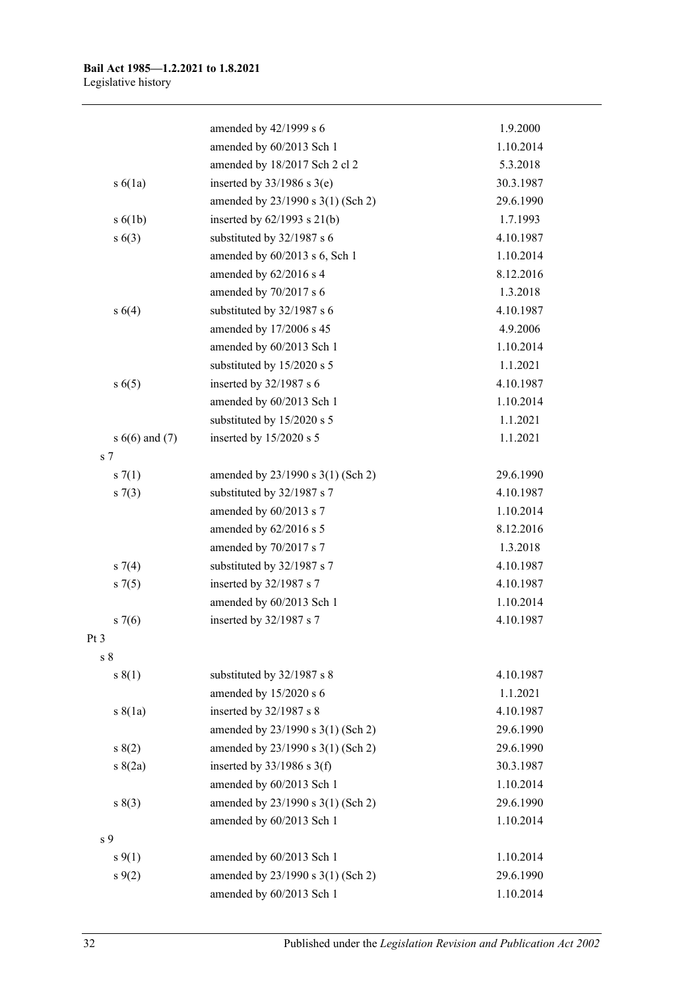|                    | amended by 42/1999 s 6            | 1.9.2000  |
|--------------------|-----------------------------------|-----------|
|                    | amended by 60/2013 Sch 1          | 1.10.2014 |
|                    | amended by 18/2017 Sch 2 cl 2     | 5.3.2018  |
| $s\ 6(1a)$         | inserted by $33/1986$ s $3(e)$    | 30.3.1987 |
|                    | amended by 23/1990 s 3(1) (Sch 2) | 29.6.1990 |
| s(6(1b))           | inserted by $62/1993$ s $21(b)$   | 1.7.1993  |
| s(6(3))            | substituted by 32/1987 s 6        | 4.10.1987 |
|                    | amended by 60/2013 s 6, Sch 1     | 1.10.2014 |
|                    | amended by 62/2016 s 4            | 8.12.2016 |
|                    | amended by 70/2017 s 6            | 1.3.2018  |
| s 6(4)             | substituted by 32/1987 s 6        | 4.10.1987 |
|                    | amended by 17/2006 s 45           | 4.9.2006  |
|                    | amended by 60/2013 Sch 1          | 1.10.2014 |
|                    | substituted by 15/2020 s 5        | 1.1.2021  |
| s(6(5)             | inserted by $32/1987$ s 6         | 4.10.1987 |
|                    | amended by 60/2013 Sch 1          | 1.10.2014 |
|                    | substituted by 15/2020 s 5        | 1.1.2021  |
| $s 6(6)$ and $(7)$ | inserted by 15/2020 s 5           | 1.1.2021  |
| s <sub>7</sub>     |                                   |           |
| $s \, 7(1)$        | amended by 23/1990 s 3(1) (Sch 2) | 29.6.1990 |
| $s \ 7(3)$         | substituted by 32/1987 s 7        | 4.10.1987 |
|                    | amended by 60/2013 s 7            | 1.10.2014 |
|                    | amended by 62/2016 s 5            | 8.12.2016 |
|                    | amended by 70/2017 s 7            | 1.3.2018  |
| $s \ 7(4)$         | substituted by 32/1987 s 7        | 4.10.1987 |
| $s \ 7(5)$         | inserted by 32/1987 s 7           | 4.10.1987 |
|                    | amended by 60/2013 Sch 1          | 1.10.2014 |
| $s \, 7(6)$        | inserted by 32/1987 s 7           | 4.10.1987 |
| Pt <sub>3</sub>    |                                   |           |
| $\sqrt{s}$ 8       |                                   |           |
| s(1)               | substituted by 32/1987 s 8        | 4.10.1987 |
|                    | amended by 15/2020 s 6            | 1.1.2021  |
| s(8(1a))           | inserted by 32/1987 s 8           | 4.10.1987 |
|                    | amended by 23/1990 s 3(1) (Sch 2) | 29.6.1990 |
| s(2)               | amended by 23/1990 s 3(1) (Sch 2) | 29.6.1990 |
| s(2a)              | inserted by $33/1986$ s 3(f)      | 30.3.1987 |
|                    | amended by 60/2013 Sch 1          | 1.10.2014 |
| s(3)               | amended by 23/1990 s 3(1) (Sch 2) | 29.6.1990 |
|                    | amended by 60/2013 Sch 1          | 1.10.2014 |
| s <sub>9</sub>     |                                   |           |
| $s \, 9(1)$        | amended by 60/2013 Sch 1          | 1.10.2014 |
| $s \, 9(2)$        | amended by 23/1990 s 3(1) (Sch 2) | 29.6.1990 |
|                    | amended by 60/2013 Sch 1          | 1.10.2014 |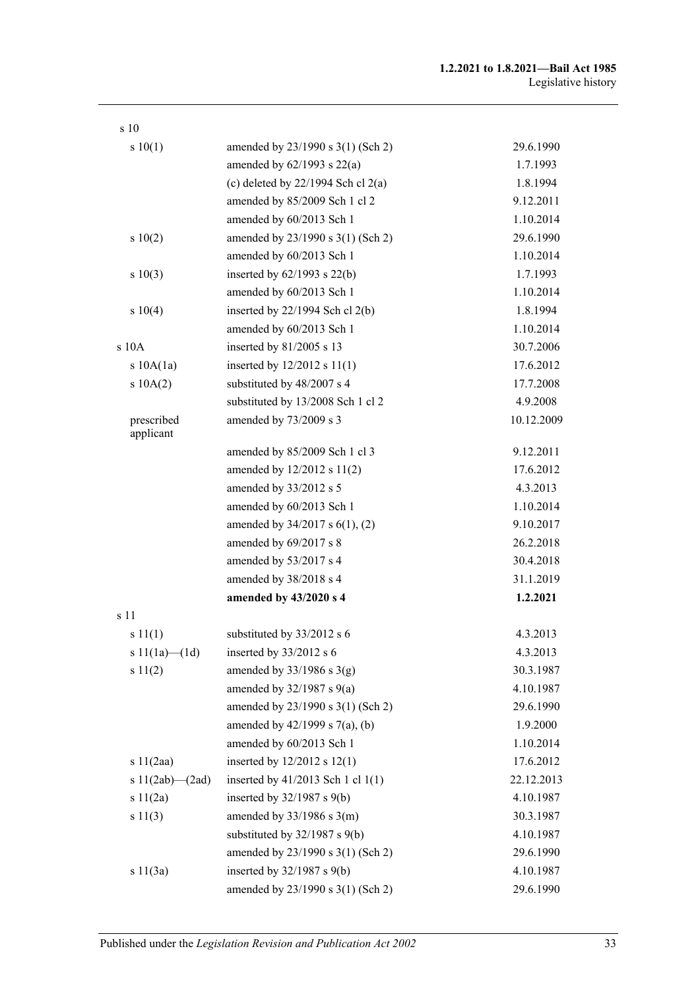| s 10                    |                                        |            |
|-------------------------|----------------------------------------|------------|
| s 10(1)                 | amended by 23/1990 s 3(1) (Sch 2)      | 29.6.1990  |
|                         | amended by $62/1993$ s $22(a)$         | 1.7.1993   |
|                         | (c) deleted by $22/1994$ Sch cl $2(a)$ | 1.8.1994   |
|                         | amended by 85/2009 Sch 1 cl 2          | 9.12.2011  |
|                         | amended by 60/2013 Sch 1               | 1.10.2014  |
| s 10(2)                 | amended by 23/1990 s 3(1) (Sch 2)      | 29.6.1990  |
|                         | amended by 60/2013 Sch 1               | 1.10.2014  |
| s 10(3)                 | inserted by $62/1993$ s $22(b)$        | 1.7.1993   |
|                         | amended by 60/2013 Sch 1               | 1.10.2014  |
| s 10(4)                 | inserted by 22/1994 Sch cl 2(b)        | 1.8.1994   |
|                         | amended by 60/2013 Sch 1               | 1.10.2014  |
| s10A                    | inserted by 81/2005 s 13               | 30.7.2006  |
| s 10A(1a)               | inserted by $12/2012$ s $11(1)$        | 17.6.2012  |
| s 10A(2)                | substituted by 48/2007 s 4             | 17.7.2008  |
|                         | substituted by 13/2008 Sch 1 cl 2      | 4.9.2008   |
| prescribed<br>applicant | amended by 73/2009 s 3                 | 10.12.2009 |
|                         | amended by 85/2009 Sch 1 cl 3          | 9.12.2011  |
|                         | amended by 12/2012 s 11(2)             | 17.6.2012  |
|                         | amended by 33/2012 s 5                 | 4.3.2013   |
|                         | amended by 60/2013 Sch 1               | 1.10.2014  |
|                         | amended by 34/2017 s 6(1), (2)         | 9.10.2017  |
|                         | amended by 69/2017 s 8                 | 26.2.2018  |
|                         | amended by 53/2017 s 4                 | 30.4.2018  |
|                         | amended by 38/2018 s 4                 | 31.1.2019  |
|                         | amended by 43/2020 s 4                 | 1.2.2021   |
| s 11                    |                                        |            |
| s 11(1)                 | substituted by 33/2012 s 6             | 4.3.2013   |
| s $11(1a)$ (1d)         | inserted by 33/2012 s 6                | 4.3.2013   |
| s 11(2)                 | amended by $33/1986$ s $3(g)$          | 30.3.1987  |
|                         | amended by $32/1987$ s $9(a)$          | 4.10.1987  |
|                         | amended by 23/1990 s 3(1) (Sch 2)      | 29.6.1990  |
|                         | amended by $42/1999$ s $7(a)$ , (b)    | 1.9.2000   |
|                         | amended by 60/2013 Sch 1               | 1.10.2014  |
| s11(2aa)                | inserted by 12/2012 s 12(1)            | 17.6.2012  |
| s $11(2ab)$ (2ad)       | inserted by 41/2013 Sch 1 cl 1(1)      | 22.12.2013 |
| s11(2a)                 | inserted by $32/1987$ s $9(b)$         | 4.10.1987  |
| s 11(3)                 | amended by $33/1986$ s $3(m)$          | 30.3.1987  |
|                         | substituted by 32/1987 s 9(b)          | 4.10.1987  |
|                         | amended by 23/1990 s 3(1) (Sch 2)      | 29.6.1990  |
| s 11(3a)                | inserted by $32/1987$ s $9(b)$         | 4.10.1987  |
|                         | amended by 23/1990 s 3(1) (Sch 2)      | 29.6.1990  |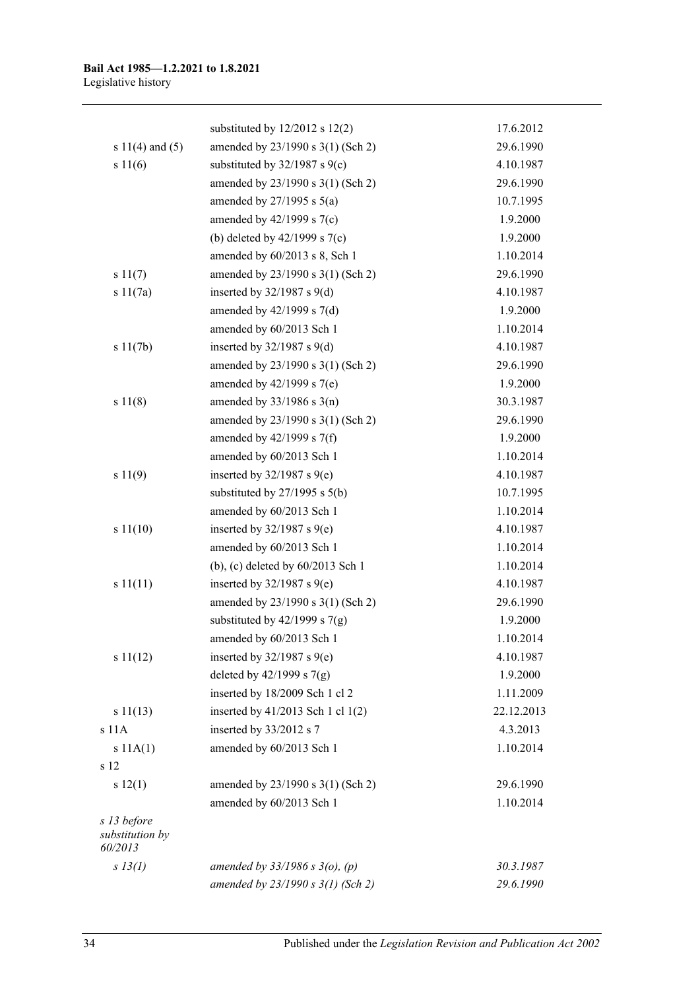|                                           | substituted by $12/2012$ s $12(2)$ | 17.6.2012  |
|-------------------------------------------|------------------------------------|------------|
| s $11(4)$ and $(5)$                       | amended by 23/1990 s 3(1) (Sch 2)  | 29.6.1990  |
| s 11(6)                                   | substituted by $32/1987$ s $9(c)$  | 4.10.1987  |
|                                           | amended by 23/1990 s 3(1) (Sch 2)  | 29.6.1990  |
|                                           | amended by $27/1995$ s $5(a)$      | 10.7.1995  |
|                                           | amended by $42/1999$ s $7(c)$      | 1.9.2000   |
|                                           | (b) deleted by $42/1999$ s $7(c)$  | 1.9.2000   |
|                                           | amended by 60/2013 s 8, Sch 1      | 1.10.2014  |
| s 11(7)                                   | amended by 23/1990 s 3(1) (Sch 2)  | 29.6.1990  |
| s 11(7a)                                  | inserted by $32/1987$ s $9(d)$     | 4.10.1987  |
|                                           | amended by $42/1999$ s $7(d)$      | 1.9.2000   |
|                                           | amended by 60/2013 Sch 1           | 1.10.2014  |
| s 11(7b)                                  | inserted by $32/1987$ s $9(d)$     | 4.10.1987  |
|                                           | amended by 23/1990 s 3(1) (Sch 2)  | 29.6.1990  |
|                                           | amended by 42/1999 s 7(e)          | 1.9.2000   |
| s 11(8)                                   | amended by $33/1986$ s $3(n)$      | 30.3.1987  |
|                                           | amended by 23/1990 s 3(1) (Sch 2)  | 29.6.1990  |
|                                           | amended by $42/1999$ s $7(f)$      | 1.9.2000   |
|                                           | amended by 60/2013 Sch 1           | 1.10.2014  |
| s 11(9)                                   | inserted by $32/1987$ s $9(e)$     | 4.10.1987  |
|                                           | substituted by $27/1995$ s $5(b)$  | 10.7.1995  |
|                                           | amended by 60/2013 Sch 1           | 1.10.2014  |
| s 11(10)                                  | inserted by $32/1987$ s $9(e)$     | 4.10.1987  |
|                                           | amended by 60/2013 Sch 1           | 1.10.2014  |
|                                           | (b), (c) deleted by 60/2013 Sch 1  | 1.10.2014  |
| s 11(11)                                  | inserted by $32/1987$ s $9(e)$     | 4.10.1987  |
|                                           | amended by 23/1990 s 3(1) (Sch 2)  | 29.6.1990  |
|                                           | substituted by $42/1999$ s $7(g)$  | 1.9.2000   |
|                                           | amended by 60/2013 Sch 1           | 1.10.2014  |
| s 11(12)                                  | inserted by $32/1987$ s $9(e)$     | 4.10.1987  |
|                                           | deleted by $42/1999$ s $7(g)$      | 1.9.2000   |
|                                           | inserted by 18/2009 Sch 1 cl 2     | 1.11.2009  |
| s 11(13)                                  | inserted by 41/2013 Sch 1 cl 1(2)  | 22.12.2013 |
| s 11A                                     | inserted by 33/2012 s 7            | 4.3.2013   |
| s 11A(1)                                  | amended by 60/2013 Sch 1           | 1.10.2014  |
| s 12                                      |                                    |            |
| s 12(1)                                   | amended by 23/1990 s 3(1) (Sch 2)  | 29.6.1990  |
|                                           | amended by 60/2013 Sch 1           | 1.10.2014  |
| s 13 before<br>substitution by<br>60/2013 |                                    |            |
| $s$ 13(1)                                 | amended by $33/1986 s 3(0)$ , (p)  | 30.3.1987  |
|                                           | amended by 23/1990 s 3(1) (Sch 2)  | 29.6.1990  |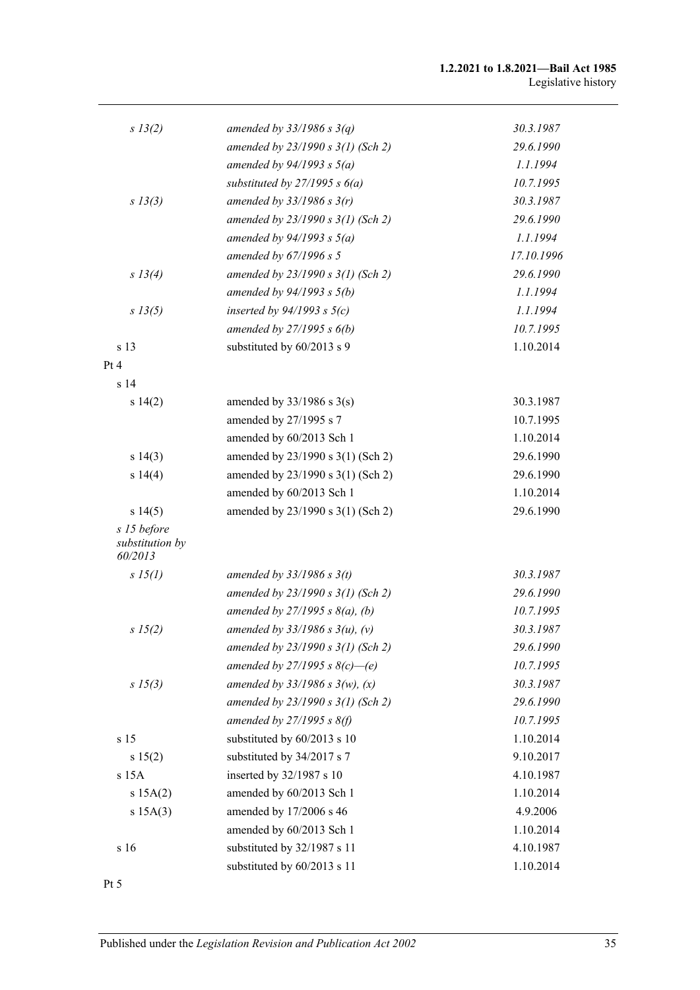| s 13(2)                                   | amended by $33/1986 s 3(q)$         | 30.3.1987  |
|-------------------------------------------|-------------------------------------|------------|
|                                           | amended by $23/1990 s 3(1)$ (Sch 2) | 29.6.1990  |
|                                           | amended by $94/1993 s 5(a)$         | 1.1.1994   |
|                                           | substituted by $27/1995 s 6(a)$     | 10.7.1995  |
| s 13(3)                                   | amended by $33/1986 s 3(r)$         | 30.3.1987  |
|                                           | amended by 23/1990 s 3(1) (Sch 2)   | 29.6.1990  |
|                                           | amended by $94/1993 s 5(a)$         | 1.1.1994   |
|                                           | amended by $67/1996 s 5$            | 17.10.1996 |
| s 13(4)                                   | amended by 23/1990 s 3(1) (Sch 2)   | 29.6.1990  |
|                                           | amended by $94/1993 s 5(b)$         | 1.1.1994   |
| $s\,13(5)$                                | inserted by $94/1993$ s $5(c)$      | 1.1.1994   |
|                                           | amended by $27/1995 s 6(b)$         | 10.7.1995  |
| s 13                                      | substituted by 60/2013 s 9          | 1.10.2014  |
| Pt 4                                      |                                     |            |
| s <sub>14</sub>                           |                                     |            |
| s 14(2)                                   | amended by $33/1986$ s $3(s)$       | 30.3.1987  |
|                                           | amended by 27/1995 s 7              | 10.7.1995  |
|                                           | amended by 60/2013 Sch 1            | 1.10.2014  |
| s 14(3)                                   | amended by 23/1990 s 3(1) (Sch 2)   | 29.6.1990  |
| s 14(4)                                   | amended by 23/1990 s 3(1) (Sch 2)   | 29.6.1990  |
|                                           | amended by 60/2013 Sch 1            | 1.10.2014  |
| s 14(5)                                   | amended by 23/1990 s 3(1) (Sch 2)   | 29.6.1990  |
| s 15 before<br>substitution by<br>60/2013 |                                     |            |
| $s\,15(l)$                                | amended by $33/1986 s 3(t)$         | 30.3.1987  |
|                                           | amended by 23/1990 s 3(1) (Sch 2)   | 29.6.1990  |
|                                           | amended by $27/1995 s 8(a)$ , (b)   | 10.7.1995  |
| s 15(2)                                   | amended by $33/1986 s 3(u)$ , (v)   | 30.3.1987  |
|                                           | amended by 23/1990 s 3(1) (Sch 2)   | 29.6.1990  |
|                                           | amended by 27/1995 s $8(c)$ —(e)    | 10.7.1995  |
| $s\,15(3)$                                | amended by $33/1986 s 3(w)$ , (x)   | 30.3.1987  |
|                                           | amended by 23/1990 s 3(1) (Sch 2)   | 29.6.1990  |
|                                           | amended by $27/1995 s 8(f)$         | 10.7.1995  |
| s 15                                      | substituted by 60/2013 s 10         | 1.10.2014  |
| s 15(2)                                   | substituted by 34/2017 s 7          | 9.10.2017  |
| s 15A                                     | inserted by 32/1987 s 10            | 4.10.1987  |
| s 15A(2)                                  | amended by 60/2013 Sch 1            | 1.10.2014  |
| s 15A(3)                                  | amended by 17/2006 s 46             | 4.9.2006   |
|                                           | amended by 60/2013 Sch 1            | 1.10.2014  |
| s 16                                      | substituted by 32/1987 s 11         | 4.10.1987  |
|                                           | substituted by 60/2013 s 11         | 1.10.2014  |
|                                           |                                     |            |

Pt 5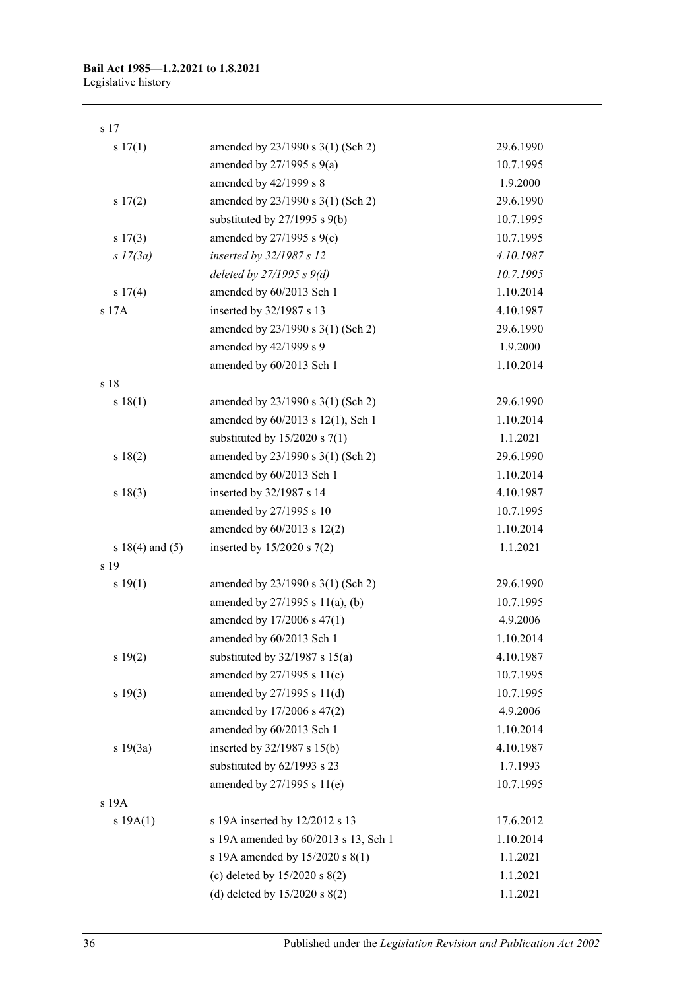| s 17                |                                       |           |
|---------------------|---------------------------------------|-----------|
| s 17(1)             | amended by 23/1990 s 3(1) (Sch 2)     | 29.6.1990 |
|                     | amended by $27/1995$ s $9(a)$         | 10.7.1995 |
|                     | amended by 42/1999 s 8                | 1.9.2000  |
| s 17(2)             | amended by 23/1990 s 3(1) (Sch 2)     | 29.6.1990 |
|                     | substituted by $27/1995$ s $9(b)$     | 10.7.1995 |
| s 17(3)             | amended by $27/1995$ s $9(c)$         | 10.7.1995 |
| s 17(3a)            | inserted by 32/1987 s 12              | 4.10.1987 |
|                     | deleted by $27/1995 s 9(d)$           | 10.7.1995 |
| s 17(4)             | amended by 60/2013 Sch 1              | 1.10.2014 |
| s 17A               | inserted by 32/1987 s 13              | 4.10.1987 |
|                     | amended by 23/1990 s 3(1) (Sch 2)     | 29.6.1990 |
|                     | amended by 42/1999 s 9                | 1.9.2000  |
|                     | amended by 60/2013 Sch 1              | 1.10.2014 |
| s 18                |                                       |           |
| s 18(1)             | amended by $23/1990$ s $3(1)$ (Sch 2) | 29.6.1990 |
|                     | amended by 60/2013 s 12(1), Sch 1     | 1.10.2014 |
|                     | substituted by $15/2020$ s $7(1)$     | 1.1.2021  |
| s 18(2)             | amended by 23/1990 s 3(1) (Sch 2)     | 29.6.1990 |
|                     | amended by 60/2013 Sch 1              | 1.10.2014 |
| s 18(3)             | inserted by 32/1987 s 14              | 4.10.1987 |
|                     | amended by 27/1995 s 10               | 10.7.1995 |
|                     | amended by 60/2013 s 12(2)            | 1.10.2014 |
| s $18(4)$ and $(5)$ | inserted by 15/2020 s 7(2)            | 1.1.2021  |
| s 19                |                                       |           |
| s 19(1)             | amended by 23/1990 s 3(1) (Sch 2)     | 29.6.1990 |
|                     | amended by $27/1995$ s $11(a)$ , (b)  | 10.7.1995 |
|                     | amended by 17/2006 s 47(1)            | 4.9.2006  |
|                     | amended by 60/2013 Sch 1              | 1.10.2014 |
| s 19(2)             | substituted by $32/1987$ s $15(a)$    | 4.10.1987 |
|                     | amended by 27/1995 s 11(c)            | 10.7.1995 |
| s 19(3)             | amended by 27/1995 s 11(d)            | 10.7.1995 |
|                     | amended by 17/2006 s 47(2)            | 4.9.2006  |
|                     | amended by 60/2013 Sch 1              | 1.10.2014 |
| s 19(3a)            | inserted by 32/1987 s 15(b)           | 4.10.1987 |
|                     | substituted by 62/1993 s 23           | 1.7.1993  |
|                     | amended by 27/1995 s 11(e)            | 10.7.1995 |
| s 19A               |                                       |           |
| s 19A(1)            | s 19A inserted by 12/2012 s 13        | 17.6.2012 |
|                     | s 19A amended by 60/2013 s 13, Sch 1  | 1.10.2014 |
|                     | s 19A amended by 15/2020 s 8(1)       | 1.1.2021  |
|                     | (c) deleted by $15/2020$ s $8(2)$     | 1.1.2021  |
|                     | (d) deleted by $15/2020$ s $8(2)$     | 1.1.2021  |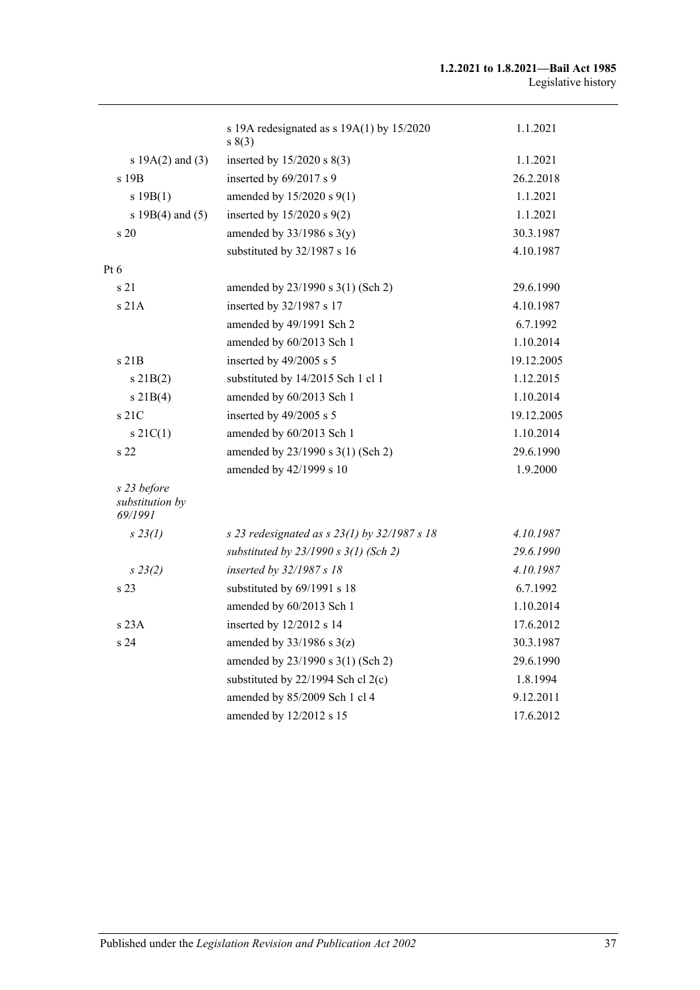|                                           | s 19A redesignated as s $19A(1)$ by $15/2020$<br>s(3) | 1.1.2021   |
|-------------------------------------------|-------------------------------------------------------|------------|
| s $19A(2)$ and $(3)$                      | inserted by $15/2020$ s $8(3)$                        | 1.1.2021   |
| s 19 <sub>B</sub>                         | inserted by 69/2017 s 9                               | 26.2.2018  |
| s 19B(1)                                  | amended by 15/2020 s 9(1)                             | 1.1.2021   |
| s $19B(4)$ and $(5)$                      | inserted by $15/2020$ s $9(2)$                        | 1.1.2021   |
| s 20                                      | amended by $33/1986$ s 3(y)                           | 30.3.1987  |
|                                           | substituted by 32/1987 s 16                           | 4.10.1987  |
| $Pt\ 6$                                   |                                                       |            |
| s 21                                      | amended by 23/1990 s 3(1) (Sch 2)                     | 29.6.1990  |
| s 21A                                     | inserted by 32/1987 s 17                              | 4.10.1987  |
|                                           | amended by 49/1991 Sch 2                              | 6.7.1992   |
|                                           | amended by 60/2013 Sch 1                              | 1.10.2014  |
| s 21B                                     | inserted by 49/2005 s 5                               | 19.12.2005 |
| $s$ 21B(2)                                | substituted by 14/2015 Sch 1 cl 1                     | 1.12.2015  |
| s 21B(4)                                  | amended by 60/2013 Sch 1                              | 1.10.2014  |
| s 21C                                     | inserted by 49/2005 s 5                               | 19.12.2005 |
| $s$ 21C(1)                                | amended by 60/2013 Sch 1                              | 1.10.2014  |
| s 22                                      | amended by 23/1990 s 3(1) (Sch 2)                     | 29.6.1990  |
|                                           | amended by 42/1999 s 10                               | 1.9.2000   |
| s 23 before<br>substitution by<br>69/1991 |                                                       |            |
| $s\,23(1)$                                | s 23 redesignated as s $23(1)$ by $32/1987$ s 18      | 4.10.1987  |
|                                           | substituted by $23/1990 s 3(1)$ (Sch 2)               | 29.6.1990  |
| $s\,23(2)$                                | inserted by 32/1987 s 18                              | 4.10.1987  |
| s 23                                      | substituted by 69/1991 s 18                           | 6.7.1992   |
|                                           | amended by 60/2013 Sch 1                              | 1.10.2014  |
| s23A                                      | inserted by 12/2012 s 14                              | 17.6.2012  |
| s 24                                      | amended by $33/1986$ s $3(z)$                         | 30.3.1987  |
|                                           | amended by 23/1990 s 3(1) (Sch 2)                     | 29.6.1990  |
|                                           | substituted by $22/1994$ Sch cl $2(c)$                | 1.8.1994   |
|                                           | amended by 85/2009 Sch 1 cl 4                         | 9.12.2011  |
|                                           | amended by 12/2012 s 15                               | 17.6.2012  |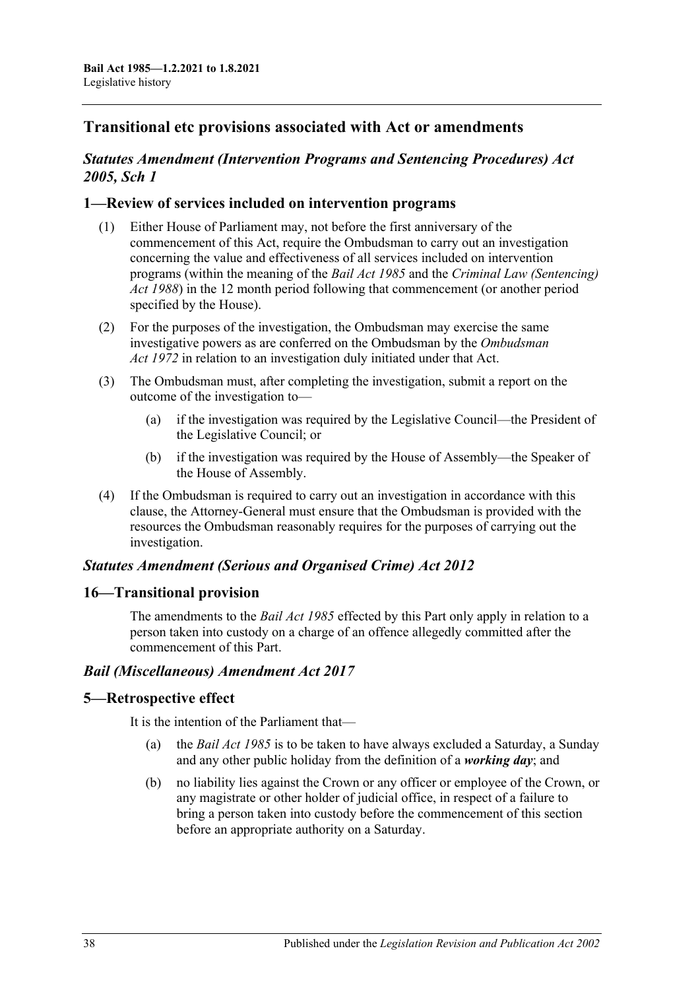## **Transitional etc provisions associated with Act or amendments**

## *Statutes Amendment (Intervention Programs and Sentencing Procedures) Act 2005, Sch 1*

## **1—Review of services included on intervention programs**

- Either House of Parliament may, not before the first anniversary of the commencement of this Act, require the Ombudsman to carry out an investigation concerning the value and effectiveness of all services included on intervention programs (within the meaning of the *[Bail Act](http://www.legislation.sa.gov.au/index.aspx?action=legref&type=act&legtitle=Bail%20Act%201985) 1985* and the *[Criminal Law \(Sentencing\)](http://www.legislation.sa.gov.au/index.aspx?action=legref&type=act&legtitle=Criminal%20Law%20(Sentencing)%20Act%201988)  Act [1988](http://www.legislation.sa.gov.au/index.aspx?action=legref&type=act&legtitle=Criminal%20Law%20(Sentencing)%20Act%201988)*) in the 12 month period following that commencement (or another period specified by the House).
- (2) For the purposes of the investigation, the Ombudsman may exercise the same investigative powers as are conferred on the Ombudsman by the *[Ombudsman](http://www.legislation.sa.gov.au/index.aspx?action=legref&type=act&legtitle=Ombudsman%20Act%201972)  Act [1972](http://www.legislation.sa.gov.au/index.aspx?action=legref&type=act&legtitle=Ombudsman%20Act%201972)* in relation to an investigation duly initiated under that Act.
- (3) The Ombudsman must, after completing the investigation, submit a report on the outcome of the investigation to—
	- (a) if the investigation was required by the Legislative Council—the President of the Legislative Council; or
	- (b) if the investigation was required by the House of Assembly—the Speaker of the House of Assembly.
- (4) If the Ombudsman is required to carry out an investigation in accordance with this clause, the Attorney-General must ensure that the Ombudsman is provided with the resources the Ombudsman reasonably requires for the purposes of carrying out the investigation.

## *Statutes Amendment (Serious and Organised Crime) Act 2012*

## **16—Transitional provision**

The amendments to the *[Bail Act](http://www.legislation.sa.gov.au/index.aspx?action=legref&type=act&legtitle=Bail%20Act%201985) 1985* effected by this Part only apply in relation to a person taken into custody on a charge of an offence allegedly committed after the commencement of this Part.

## *Bail (Miscellaneous) Amendment Act 2017*

## **5—Retrospective effect**

It is the intention of the Parliament that—

- (a) the *[Bail Act](http://www.legislation.sa.gov.au/index.aspx?action=legref&type=act&legtitle=Bail%20Act%201985) 1985* is to be taken to have always excluded a Saturday, a Sunday and any other public holiday from the definition of a *working day*; and
- (b) no liability lies against the Crown or any officer or employee of the Crown, or any magistrate or other holder of judicial office, in respect of a failure to bring a person taken into custody before the commencement of this section before an appropriate authority on a Saturday.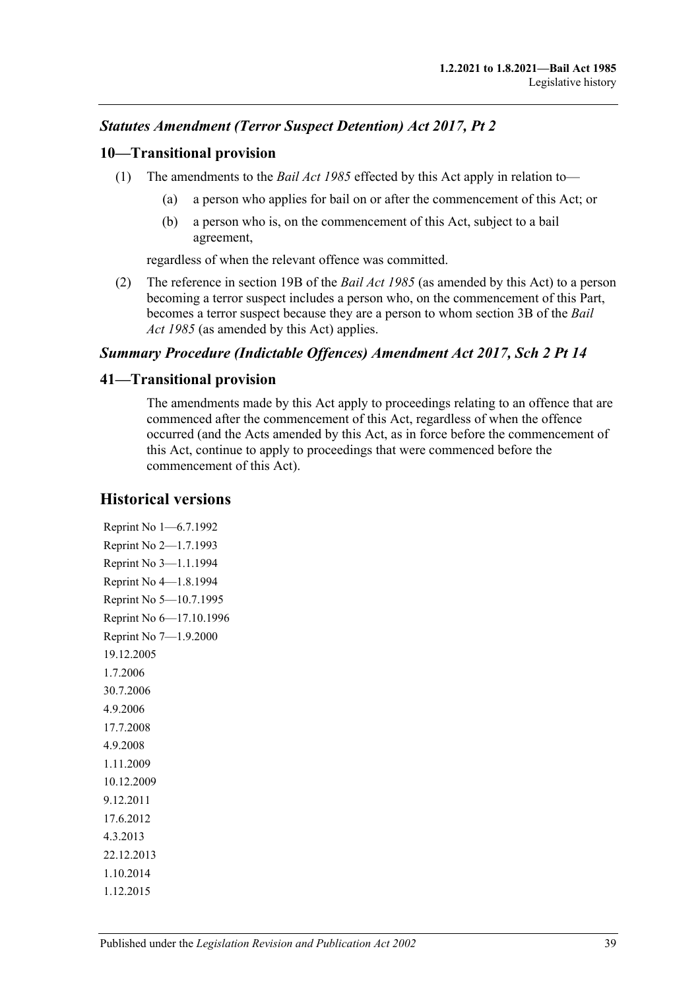## *Statutes Amendment (Terror Suspect Detention) Act 2017, Pt 2*

#### **10—Transitional provision**

- (1) The amendments to the *[Bail Act](http://www.legislation.sa.gov.au/index.aspx?action=legref&type=act&legtitle=Bail%20Act%201985) 1985* effected by this Act apply in relation to—
	- (a) a person who applies for bail on or after the commencement of this Act; or
	- (b) a person who is, on the commencement of this Act, subject to a bail agreement,

regardless of when the relevant offence was committed.

(2) The reference in section 19B of the *[Bail Act](http://www.legislation.sa.gov.au/index.aspx?action=legref&type=act&legtitle=Bail%20Act%201985) 1985* (as amended by this Act) to a person becoming a terror suspect includes a person who, on the commencement of this Part, becomes a terror suspect because they are a person to whom section 3B of the *[Bail](http://www.legislation.sa.gov.au/index.aspx?action=legref&type=act&legtitle=Bail%20Act%201985)  Act [1985](http://www.legislation.sa.gov.au/index.aspx?action=legref&type=act&legtitle=Bail%20Act%201985)* (as amended by this Act) applies.

## *Summary Procedure (Indictable Offences) Amendment Act 2017, Sch 2 Pt 14*

#### **41—Transitional provision**

The amendments made by this Act apply to proceedings relating to an offence that are commenced after the commencement of this Act, regardless of when the offence occurred (and the Acts amended by this Act, as in force before the commencement of this Act, continue to apply to proceedings that were commenced before the commencement of this Act).

## **Historical versions**

Reprint No 1—6.7.1992 Reprint No 2—1.7.1993 Reprint No 3—1.1.1994 Reprint No 4—1.8.1994 Reprint No 5—10.7.1995 Reprint No 6—17.10.1996 Reprint No 7—1.9.2000 19.12.2005 1.7.2006 30.7.2006 4.9.2006 17.7.2008 4.9.2008 1.11.2009 10.12.2009 9.12.2011 17.6.2012 4.3.2013 22.12.2013 1.10.2014 1.12.2015